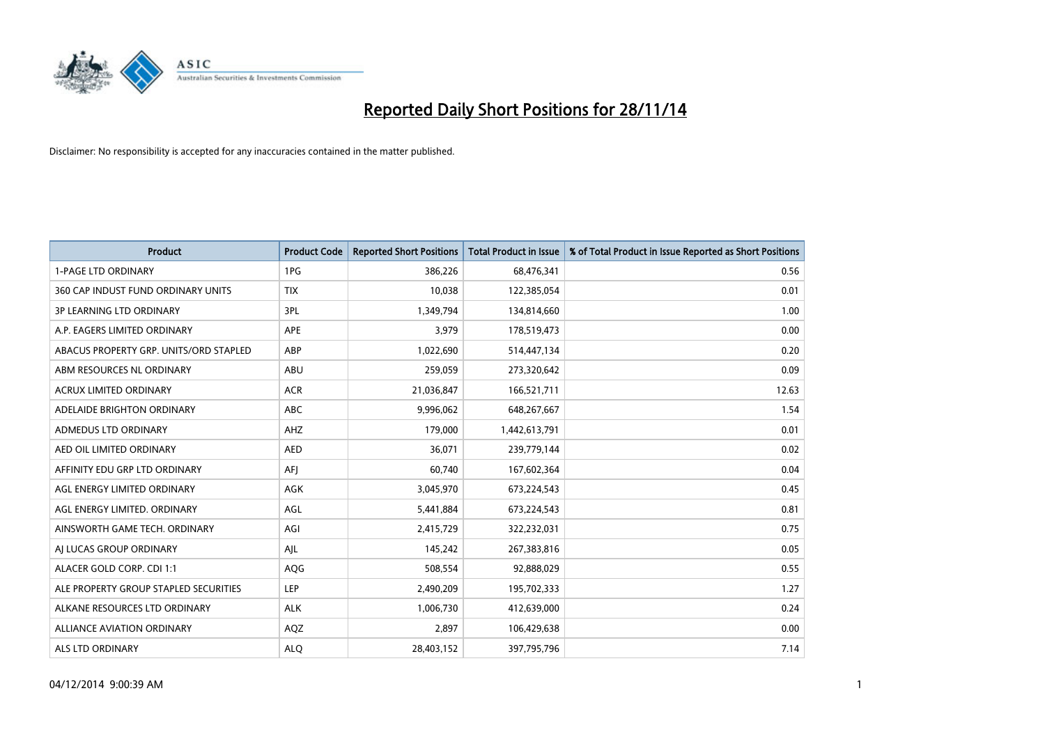

| <b>Product</b>                         | <b>Product Code</b> | <b>Reported Short Positions</b> | <b>Total Product in Issue</b> | % of Total Product in Issue Reported as Short Positions |
|----------------------------------------|---------------------|---------------------------------|-------------------------------|---------------------------------------------------------|
| <b>1-PAGE LTD ORDINARY</b>             | 1PG                 | 386,226                         | 68,476,341                    | 0.56                                                    |
| 360 CAP INDUST FUND ORDINARY UNITS     | <b>TIX</b>          | 10,038                          | 122,385,054                   | 0.01                                                    |
| <b>3P LEARNING LTD ORDINARY</b>        | 3PL                 | 1,349,794                       | 134,814,660                   | 1.00                                                    |
| A.P. EAGERS LIMITED ORDINARY           | <b>APE</b>          | 3,979                           | 178,519,473                   | 0.00                                                    |
| ABACUS PROPERTY GRP. UNITS/ORD STAPLED | ABP                 | 1,022,690                       | 514,447,134                   | 0.20                                                    |
| ABM RESOURCES NL ORDINARY              | ABU                 | 259,059                         | 273,320,642                   | 0.09                                                    |
| <b>ACRUX LIMITED ORDINARY</b>          | <b>ACR</b>          | 21,036,847                      | 166,521,711                   | 12.63                                                   |
| ADELAIDE BRIGHTON ORDINARY             | <b>ABC</b>          | 9,996,062                       | 648,267,667                   | 1.54                                                    |
| ADMEDUS LTD ORDINARY                   | AHZ                 | 179,000                         | 1,442,613,791                 | 0.01                                                    |
| AED OIL LIMITED ORDINARY               | <b>AED</b>          | 36,071                          | 239,779,144                   | 0.02                                                    |
| AFFINITY EDU GRP LTD ORDINARY          | AFI                 | 60,740                          | 167,602,364                   | 0.04                                                    |
| AGL ENERGY LIMITED ORDINARY            | AGK                 | 3,045,970                       | 673,224,543                   | 0.45                                                    |
| AGL ENERGY LIMITED. ORDINARY           | AGL                 | 5,441,884                       | 673,224,543                   | 0.81                                                    |
| AINSWORTH GAME TECH. ORDINARY          | AGI                 | 2,415,729                       | 322,232,031                   | 0.75                                                    |
| AI LUCAS GROUP ORDINARY                | AJL                 | 145,242                         | 267,383,816                   | 0.05                                                    |
| ALACER GOLD CORP. CDI 1:1              | AQG                 | 508,554                         | 92,888,029                    | 0.55                                                    |
| ALE PROPERTY GROUP STAPLED SECURITIES  | LEP                 | 2,490,209                       | 195,702,333                   | 1.27                                                    |
| ALKANE RESOURCES LTD ORDINARY          | <b>ALK</b>          | 1,006,730                       | 412,639,000                   | 0.24                                                    |
| ALLIANCE AVIATION ORDINARY             | AQZ                 | 2,897                           | 106,429,638                   | 0.00                                                    |
| ALS LTD ORDINARY                       | <b>ALO</b>          | 28,403,152                      | 397,795,796                   | 7.14                                                    |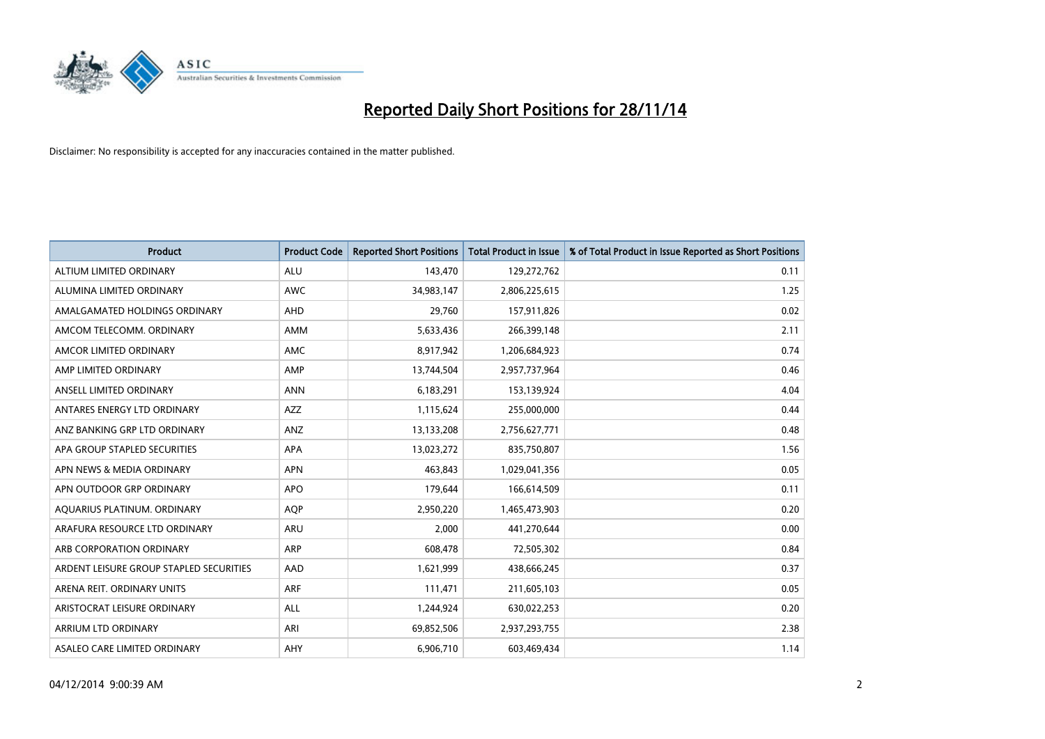

| <b>Product</b>                          | <b>Product Code</b> | <b>Reported Short Positions</b> | <b>Total Product in Issue</b> | % of Total Product in Issue Reported as Short Positions |
|-----------------------------------------|---------------------|---------------------------------|-------------------------------|---------------------------------------------------------|
| ALTIUM LIMITED ORDINARY                 | <b>ALU</b>          | 143,470                         | 129,272,762                   | 0.11                                                    |
| ALUMINA LIMITED ORDINARY                | AWC                 | 34,983,147                      | 2,806,225,615                 | 1.25                                                    |
| AMALGAMATED HOLDINGS ORDINARY           | AHD                 | 29,760                          | 157,911,826                   | 0.02                                                    |
| AMCOM TELECOMM, ORDINARY                | AMM                 | 5,633,436                       | 266,399,148                   | 2.11                                                    |
| AMCOR LIMITED ORDINARY                  | AMC                 | 8,917,942                       | 1,206,684,923                 | 0.74                                                    |
| AMP LIMITED ORDINARY                    | AMP                 | 13,744,504                      | 2,957,737,964                 | 0.46                                                    |
| ANSELL LIMITED ORDINARY                 | <b>ANN</b>          | 6,183,291                       | 153,139,924                   | 4.04                                                    |
| ANTARES ENERGY LTD ORDINARY             | AZZ                 | 1,115,624                       | 255,000,000                   | 0.44                                                    |
| ANZ BANKING GRP LTD ORDINARY            | ANZ                 | 13,133,208                      | 2,756,627,771                 | 0.48                                                    |
| APA GROUP STAPLED SECURITIES            | <b>APA</b>          | 13,023,272                      | 835,750,807                   | 1.56                                                    |
| APN NEWS & MEDIA ORDINARY               | <b>APN</b>          | 463,843                         | 1,029,041,356                 | 0.05                                                    |
| APN OUTDOOR GRP ORDINARY                | <b>APO</b>          | 179,644                         | 166,614,509                   | 0.11                                                    |
| AQUARIUS PLATINUM. ORDINARY             | <b>AOP</b>          | 2,950,220                       | 1,465,473,903                 | 0.20                                                    |
| ARAFURA RESOURCE LTD ORDINARY           | <b>ARU</b>          | 2,000                           | 441,270,644                   | 0.00                                                    |
| ARB CORPORATION ORDINARY                | <b>ARP</b>          | 608,478                         | 72,505,302                    | 0.84                                                    |
| ARDENT LEISURE GROUP STAPLED SECURITIES | AAD                 | 1,621,999                       | 438,666,245                   | 0.37                                                    |
| ARENA REIT. ORDINARY UNITS              | <b>ARF</b>          | 111,471                         | 211,605,103                   | 0.05                                                    |
| ARISTOCRAT LEISURE ORDINARY             | ALL                 | 1,244,924                       | 630,022,253                   | 0.20                                                    |
| ARRIUM LTD ORDINARY                     | ARI                 | 69,852,506                      | 2,937,293,755                 | 2.38                                                    |
| ASALEO CARE LIMITED ORDINARY            | AHY                 | 6,906,710                       | 603,469,434                   | 1.14                                                    |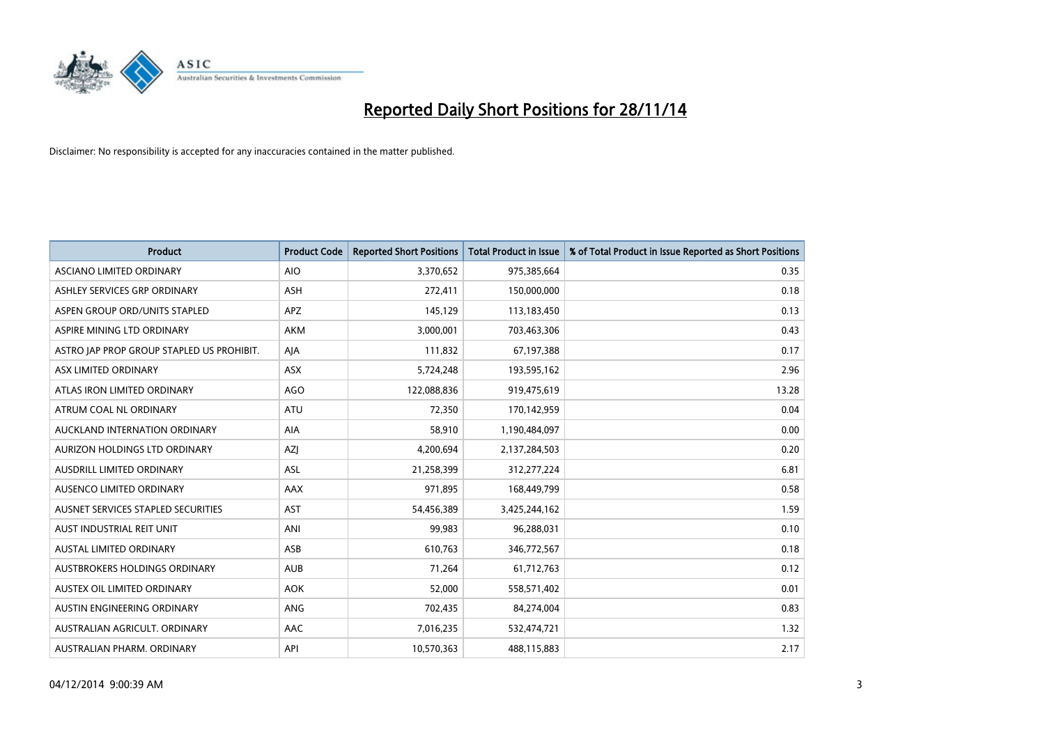

| <b>Product</b>                            | <b>Product Code</b> | <b>Reported Short Positions</b> | <b>Total Product in Issue</b> | % of Total Product in Issue Reported as Short Positions |
|-------------------------------------------|---------------------|---------------------------------|-------------------------------|---------------------------------------------------------|
| ASCIANO LIMITED ORDINARY                  | <b>AIO</b>          | 3,370,652                       | 975,385,664                   | 0.35                                                    |
| ASHLEY SERVICES GRP ORDINARY              | <b>ASH</b>          | 272,411                         | 150,000,000                   | 0.18                                                    |
| ASPEN GROUP ORD/UNITS STAPLED             | APZ                 | 145,129                         | 113,183,450                   | 0.13                                                    |
| ASPIRE MINING LTD ORDINARY                | <b>AKM</b>          | 3,000,001                       | 703,463,306                   | 0.43                                                    |
| ASTRO JAP PROP GROUP STAPLED US PROHIBIT. | AJA                 | 111,832                         | 67,197,388                    | 0.17                                                    |
| ASX LIMITED ORDINARY                      | ASX                 | 5,724,248                       | 193,595,162                   | 2.96                                                    |
| ATLAS IRON LIMITED ORDINARY               | <b>AGO</b>          | 122,088,836                     | 919,475,619                   | 13.28                                                   |
| ATRUM COAL NL ORDINARY                    | ATU                 | 72,350                          | 170,142,959                   | 0.04                                                    |
| AUCKLAND INTERNATION ORDINARY             | AIA                 | 58,910                          | 1,190,484,097                 | 0.00                                                    |
| AURIZON HOLDINGS LTD ORDINARY             | AZJ                 | 4,200,694                       | 2,137,284,503                 | 0.20                                                    |
| AUSDRILL LIMITED ORDINARY                 | ASL                 | 21,258,399                      | 312,277,224                   | 6.81                                                    |
| AUSENCO LIMITED ORDINARY                  | AAX                 | 971,895                         | 168,449,799                   | 0.58                                                    |
| AUSNET SERVICES STAPLED SECURITIES        | <b>AST</b>          | 54,456,389                      | 3,425,244,162                 | 1.59                                                    |
| AUST INDUSTRIAL REIT UNIT                 | ANI                 | 99,983                          | 96,288,031                    | 0.10                                                    |
| <b>AUSTAL LIMITED ORDINARY</b>            | ASB                 | 610,763                         | 346,772,567                   | 0.18                                                    |
| AUSTBROKERS HOLDINGS ORDINARY             | <b>AUB</b>          | 71,264                          | 61,712,763                    | 0.12                                                    |
| AUSTEX OIL LIMITED ORDINARY               | <b>AOK</b>          | 52,000                          | 558,571,402                   | 0.01                                                    |
| AUSTIN ENGINEERING ORDINARY               | ANG                 | 702,435                         | 84,274,004                    | 0.83                                                    |
| AUSTRALIAN AGRICULT, ORDINARY             | AAC                 | 7,016,235                       | 532,474,721                   | 1.32                                                    |
| AUSTRALIAN PHARM. ORDINARY                | API                 | 10,570,363                      | 488,115,883                   | 2.17                                                    |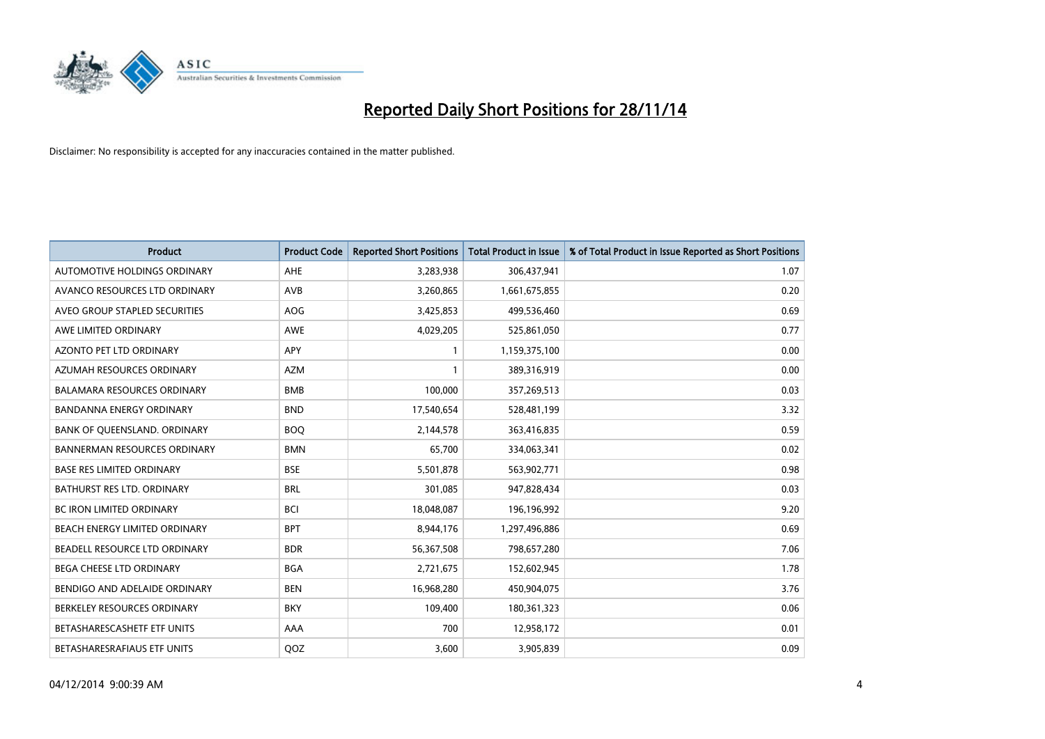

| <b>Product</b>                      | <b>Product Code</b> | <b>Reported Short Positions</b> | <b>Total Product in Issue</b> | % of Total Product in Issue Reported as Short Positions |
|-------------------------------------|---------------------|---------------------------------|-------------------------------|---------------------------------------------------------|
| AUTOMOTIVE HOLDINGS ORDINARY        | AHE                 | 3,283,938                       | 306,437,941                   | 1.07                                                    |
| AVANCO RESOURCES LTD ORDINARY       | AVB                 | 3,260,865                       | 1,661,675,855                 | 0.20                                                    |
| AVEO GROUP STAPLED SECURITIES       | <b>AOG</b>          | 3,425,853                       | 499,536,460                   | 0.69                                                    |
| AWE LIMITED ORDINARY                | <b>AWE</b>          | 4,029,205                       | 525,861,050                   | 0.77                                                    |
| <b>AZONTO PET LTD ORDINARY</b>      | APY                 | 1                               | 1,159,375,100                 | 0.00                                                    |
| AZUMAH RESOURCES ORDINARY           | <b>AZM</b>          | $\mathbf{1}$                    | 389,316,919                   | 0.00                                                    |
| <b>BALAMARA RESOURCES ORDINARY</b>  | <b>BMB</b>          | 100,000                         | 357,269,513                   | 0.03                                                    |
| <b>BANDANNA ENERGY ORDINARY</b>     | <b>BND</b>          | 17,540,654                      | 528,481,199                   | 3.32                                                    |
| BANK OF QUEENSLAND. ORDINARY        | <b>BOQ</b>          | 2,144,578                       | 363,416,835                   | 0.59                                                    |
| <b>BANNERMAN RESOURCES ORDINARY</b> | <b>BMN</b>          | 65,700                          | 334,063,341                   | 0.02                                                    |
| <b>BASE RES LIMITED ORDINARY</b>    | <b>BSE</b>          | 5,501,878                       | 563,902,771                   | 0.98                                                    |
| <b>BATHURST RES LTD. ORDINARY</b>   | <b>BRL</b>          | 301,085                         | 947,828,434                   | 0.03                                                    |
| BC IRON LIMITED ORDINARY            | <b>BCI</b>          | 18,048,087                      | 196,196,992                   | 9.20                                                    |
| BEACH ENERGY LIMITED ORDINARY       | <b>BPT</b>          | 8,944,176                       | 1,297,496,886                 | 0.69                                                    |
| BEADELL RESOURCE LTD ORDINARY       | <b>BDR</b>          | 56,367,508                      | 798,657,280                   | 7.06                                                    |
| BEGA CHEESE LTD ORDINARY            | <b>BGA</b>          | 2,721,675                       | 152,602,945                   | 1.78                                                    |
| BENDIGO AND ADELAIDE ORDINARY       | <b>BEN</b>          | 16,968,280                      | 450,904,075                   | 3.76                                                    |
| BERKELEY RESOURCES ORDINARY         | <b>BKY</b>          | 109,400                         | 180,361,323                   | 0.06                                                    |
| BETASHARESCASHETF ETF UNITS         | AAA                 | 700                             | 12,958,172                    | 0.01                                                    |
| BETASHARESRAFIAUS ETF UNITS         | QOZ                 | 3,600                           | 3,905,839                     | 0.09                                                    |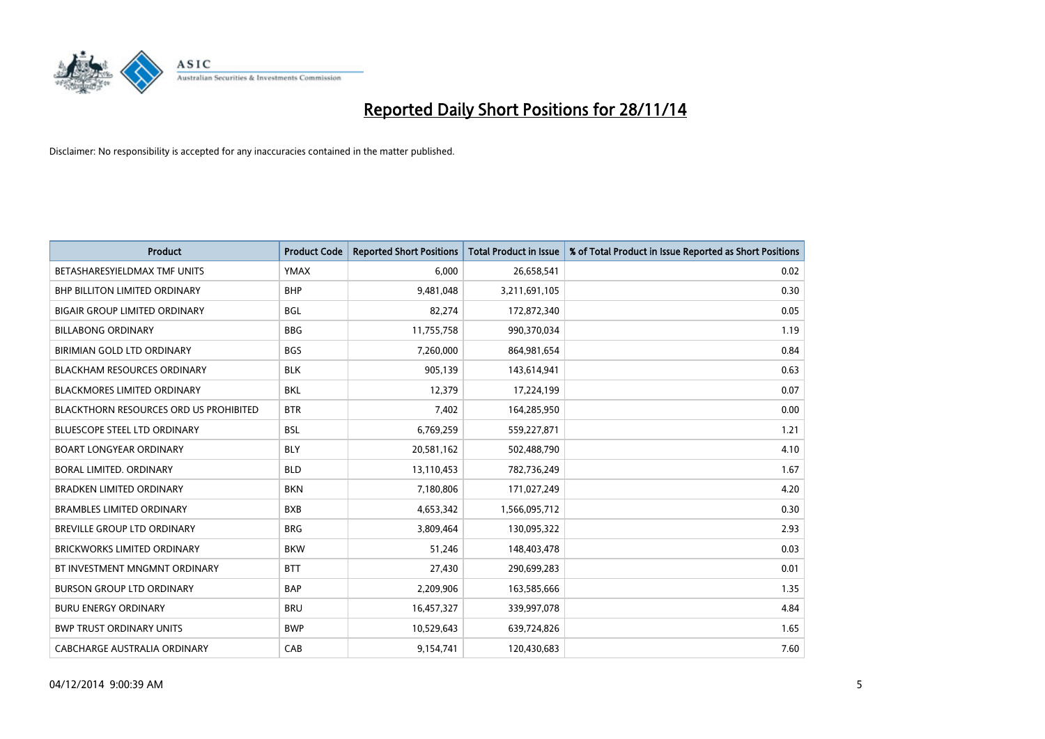

| <b>Product</b>                         | <b>Product Code</b> | <b>Reported Short Positions</b> | <b>Total Product in Issue</b> | % of Total Product in Issue Reported as Short Positions |
|----------------------------------------|---------------------|---------------------------------|-------------------------------|---------------------------------------------------------|
| BETASHARESYIELDMAX TMF UNITS           | <b>YMAX</b>         | 6,000                           | 26,658,541                    | 0.02                                                    |
| BHP BILLITON LIMITED ORDINARY          | <b>BHP</b>          | 9,481,048                       | 3,211,691,105                 | 0.30                                                    |
| <b>BIGAIR GROUP LIMITED ORDINARY</b>   | <b>BGL</b>          | 82,274                          | 172,872,340                   | 0.05                                                    |
| <b>BILLABONG ORDINARY</b>              | <b>BBG</b>          | 11,755,758                      | 990,370,034                   | 1.19                                                    |
| BIRIMIAN GOLD LTD ORDINARY             | <b>BGS</b>          | 7,260,000                       | 864,981,654                   | 0.84                                                    |
| <b>BLACKHAM RESOURCES ORDINARY</b>     | <b>BLK</b>          | 905,139                         | 143,614,941                   | 0.63                                                    |
| <b>BLACKMORES LIMITED ORDINARY</b>     | <b>BKL</b>          | 12,379                          | 17,224,199                    | 0.07                                                    |
| BLACKTHORN RESOURCES ORD US PROHIBITED | <b>BTR</b>          | 7,402                           | 164,285,950                   | 0.00                                                    |
| <b>BLUESCOPE STEEL LTD ORDINARY</b>    | <b>BSL</b>          | 6,769,259                       | 559,227,871                   | 1.21                                                    |
| <b>BOART LONGYEAR ORDINARY</b>         | <b>BLY</b>          | 20,581,162                      | 502,488,790                   | 4.10                                                    |
| BORAL LIMITED. ORDINARY                | <b>BLD</b>          | 13,110,453                      | 782,736,249                   | 1.67                                                    |
| <b>BRADKEN LIMITED ORDINARY</b>        | <b>BKN</b>          | 7,180,806                       | 171,027,249                   | 4.20                                                    |
| <b>BRAMBLES LIMITED ORDINARY</b>       | <b>BXB</b>          | 4,653,342                       | 1,566,095,712                 | 0.30                                                    |
| BREVILLE GROUP LTD ORDINARY            | <b>BRG</b>          | 3,809,464                       | 130,095,322                   | 2.93                                                    |
| <b>BRICKWORKS LIMITED ORDINARY</b>     | <b>BKW</b>          | 51,246                          | 148,403,478                   | 0.03                                                    |
| BT INVESTMENT MNGMNT ORDINARY          | <b>BTT</b>          | 27,430                          | 290,699,283                   | 0.01                                                    |
| <b>BURSON GROUP LTD ORDINARY</b>       | <b>BAP</b>          | 2,209,906                       | 163,585,666                   | 1.35                                                    |
| <b>BURU ENERGY ORDINARY</b>            | <b>BRU</b>          | 16,457,327                      | 339,997,078                   | 4.84                                                    |
| <b>BWP TRUST ORDINARY UNITS</b>        | <b>BWP</b>          | 10,529,643                      | 639,724,826                   | 1.65                                                    |
| CABCHARGE AUSTRALIA ORDINARY           | CAB                 | 9,154,741                       | 120,430,683                   | 7.60                                                    |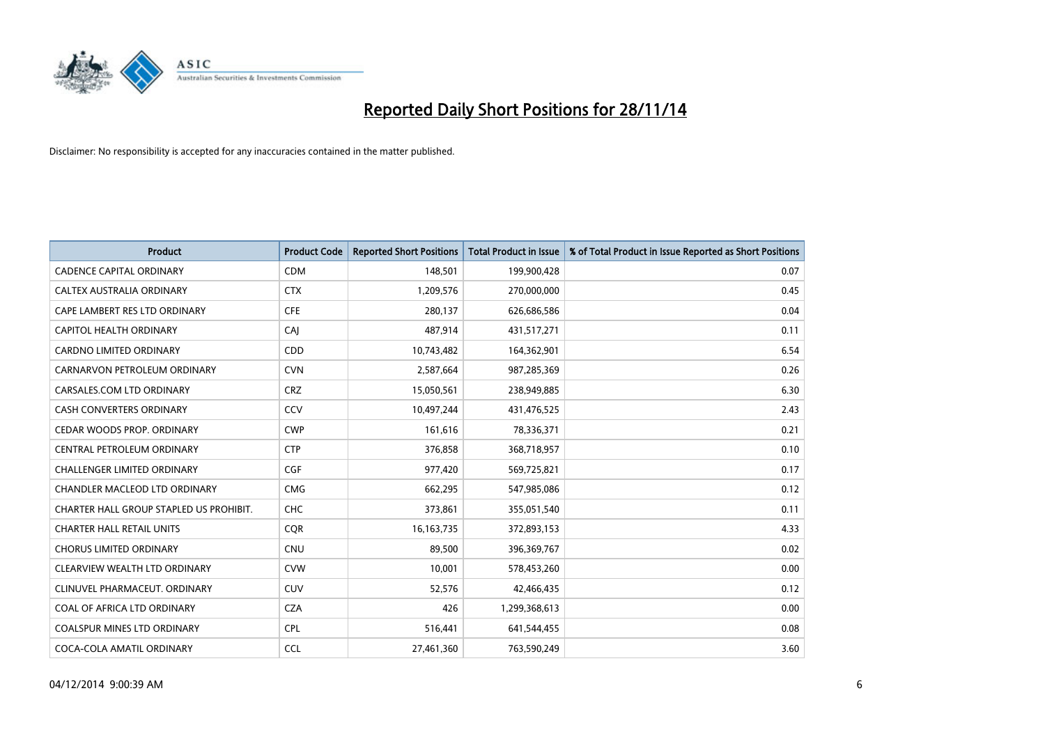

| <b>Product</b>                          | <b>Product Code</b> | <b>Reported Short Positions</b> | <b>Total Product in Issue</b> | % of Total Product in Issue Reported as Short Positions |
|-----------------------------------------|---------------------|---------------------------------|-------------------------------|---------------------------------------------------------|
| <b>CADENCE CAPITAL ORDINARY</b>         | <b>CDM</b>          | 148,501                         | 199,900,428                   | 0.07                                                    |
| CALTEX AUSTRALIA ORDINARY               | <b>CTX</b>          | 1,209,576                       | 270,000,000                   | 0.45                                                    |
| CAPE LAMBERT RES LTD ORDINARY           | <b>CFE</b>          | 280,137                         | 626,686,586                   | 0.04                                                    |
| <b>CAPITOL HEALTH ORDINARY</b>          | CAI                 | 487,914                         | 431,517,271                   | 0.11                                                    |
| <b>CARDNO LIMITED ORDINARY</b>          | CDD                 | 10,743,482                      | 164,362,901                   | 6.54                                                    |
| CARNARVON PETROLEUM ORDINARY            | <b>CVN</b>          | 2,587,664                       | 987,285,369                   | 0.26                                                    |
| CARSALES.COM LTD ORDINARY               | <b>CRZ</b>          | 15,050,561                      | 238,949,885                   | 6.30                                                    |
| CASH CONVERTERS ORDINARY                | CCV                 | 10,497,244                      | 431,476,525                   | 2.43                                                    |
| CEDAR WOODS PROP. ORDINARY              | <b>CWP</b>          | 161,616                         | 78,336,371                    | 0.21                                                    |
| CENTRAL PETROLEUM ORDINARY              | <b>CTP</b>          | 376,858                         | 368,718,957                   | 0.10                                                    |
| CHALLENGER LIMITED ORDINARY             | <b>CGF</b>          | 977,420                         | 569,725,821                   | 0.17                                                    |
| CHANDLER MACLEOD LTD ORDINARY           | <b>CMG</b>          | 662,295                         | 547,985,086                   | 0.12                                                    |
| CHARTER HALL GROUP STAPLED US PROHIBIT. | <b>CHC</b>          | 373,861                         | 355,051,540                   | 0.11                                                    |
| <b>CHARTER HALL RETAIL UNITS</b>        | <b>COR</b>          | 16, 163, 735                    | 372,893,153                   | 4.33                                                    |
| <b>CHORUS LIMITED ORDINARY</b>          | <b>CNU</b>          | 89,500                          | 396,369,767                   | 0.02                                                    |
| CLEARVIEW WEALTH LTD ORDINARY           | <b>CVW</b>          | 10,001                          | 578,453,260                   | 0.00                                                    |
| CLINUVEL PHARMACEUT. ORDINARY           | <b>CUV</b>          | 52,576                          | 42,466,435                    | 0.12                                                    |
| COAL OF AFRICA LTD ORDINARY             | <b>CZA</b>          | 426                             | 1,299,368,613                 | 0.00                                                    |
| <b>COALSPUR MINES LTD ORDINARY</b>      | <b>CPL</b>          | 516,441                         | 641,544,455                   | 0.08                                                    |
| COCA-COLA AMATIL ORDINARY               | <b>CCL</b>          | 27,461,360                      | 763,590,249                   | 3.60                                                    |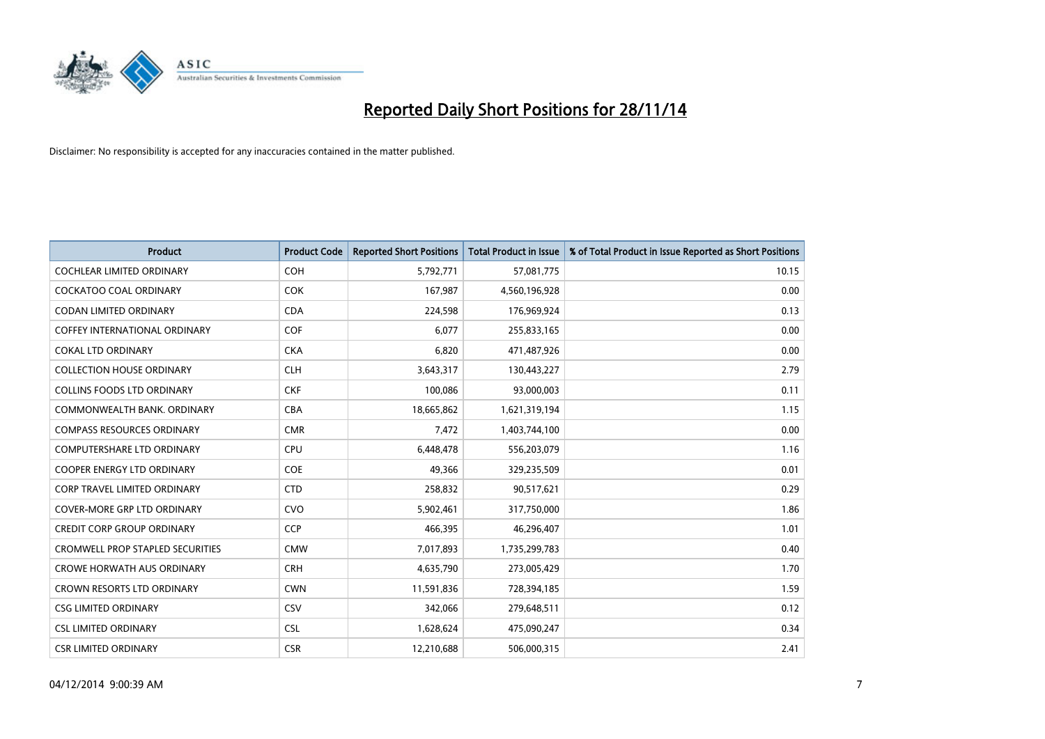

| <b>Product</b>                          | <b>Product Code</b> | <b>Reported Short Positions</b> | <b>Total Product in Issue</b> | % of Total Product in Issue Reported as Short Positions |
|-----------------------------------------|---------------------|---------------------------------|-------------------------------|---------------------------------------------------------|
| <b>COCHLEAR LIMITED ORDINARY</b>        | COH                 | 5,792,771                       | 57,081,775                    | 10.15                                                   |
| COCKATOO COAL ORDINARY                  | <b>COK</b>          | 167,987                         | 4,560,196,928                 | 0.00                                                    |
| <b>CODAN LIMITED ORDINARY</b>           | <b>CDA</b>          | 224,598                         | 176,969,924                   | 0.13                                                    |
| <b>COFFEY INTERNATIONAL ORDINARY</b>    | <b>COF</b>          | 6,077                           | 255,833,165                   | 0.00                                                    |
| <b>COKAL LTD ORDINARY</b>               | <b>CKA</b>          | 6,820                           | 471,487,926                   | 0.00                                                    |
| <b>COLLECTION HOUSE ORDINARY</b>        | <b>CLH</b>          | 3,643,317                       | 130,443,227                   | 2.79                                                    |
| <b>COLLINS FOODS LTD ORDINARY</b>       | <b>CKF</b>          | 100,086                         | 93,000,003                    | 0.11                                                    |
| COMMONWEALTH BANK, ORDINARY             | <b>CBA</b>          | 18,665,862                      | 1,621,319,194                 | 1.15                                                    |
| <b>COMPASS RESOURCES ORDINARY</b>       | <b>CMR</b>          | 7,472                           | 1,403,744,100                 | 0.00                                                    |
| <b>COMPUTERSHARE LTD ORDINARY</b>       | <b>CPU</b>          | 6,448,478                       | 556,203,079                   | 1.16                                                    |
| COOPER ENERGY LTD ORDINARY              | <b>COE</b>          | 49,366                          | 329,235,509                   | 0.01                                                    |
| <b>CORP TRAVEL LIMITED ORDINARY</b>     | <b>CTD</b>          | 258,832                         | 90,517,621                    | 0.29                                                    |
| COVER-MORE GRP LTD ORDINARY             | <b>CVO</b>          | 5,902,461                       | 317,750,000                   | 1.86                                                    |
| <b>CREDIT CORP GROUP ORDINARY</b>       | <b>CCP</b>          | 466,395                         | 46,296,407                    | 1.01                                                    |
| <b>CROMWELL PROP STAPLED SECURITIES</b> | <b>CMW</b>          | 7,017,893                       | 1,735,299,783                 | 0.40                                                    |
| <b>CROWE HORWATH AUS ORDINARY</b>       | <b>CRH</b>          | 4,635,790                       | 273,005,429                   | 1.70                                                    |
| CROWN RESORTS LTD ORDINARY              | <b>CWN</b>          | 11,591,836                      | 728,394,185                   | 1.59                                                    |
| <b>CSG LIMITED ORDINARY</b>             | CSV                 | 342,066                         | 279,648,511                   | 0.12                                                    |
| <b>CSL LIMITED ORDINARY</b>             | <b>CSL</b>          | 1,628,624                       | 475,090,247                   | 0.34                                                    |
| <b>CSR LIMITED ORDINARY</b>             | <b>CSR</b>          | 12,210,688                      | 506,000,315                   | 2.41                                                    |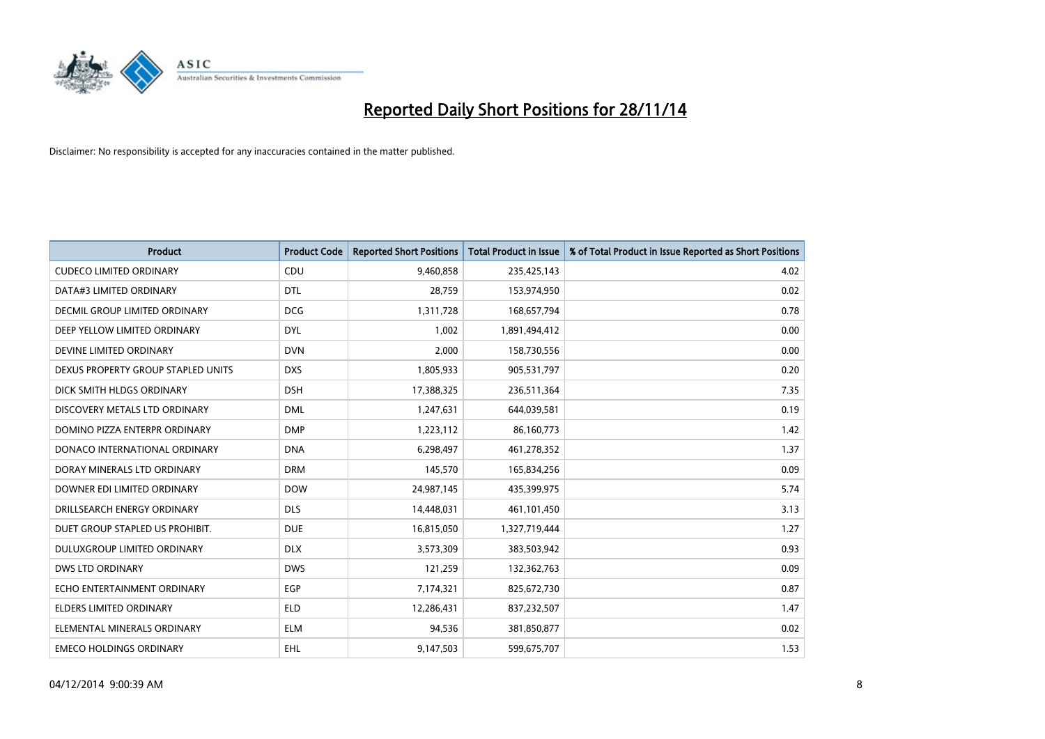

| <b>Product</b>                       | <b>Product Code</b> | <b>Reported Short Positions</b> | <b>Total Product in Issue</b> | % of Total Product in Issue Reported as Short Positions |
|--------------------------------------|---------------------|---------------------------------|-------------------------------|---------------------------------------------------------|
| <b>CUDECO LIMITED ORDINARY</b>       | CDU                 | 9,460,858                       | 235,425,143                   | 4.02                                                    |
| DATA#3 LIMITED ORDINARY              | <b>DTL</b>          | 28,759                          | 153,974,950                   | 0.02                                                    |
| <b>DECMIL GROUP LIMITED ORDINARY</b> | <b>DCG</b>          | 1,311,728                       | 168,657,794                   | 0.78                                                    |
| DEEP YELLOW LIMITED ORDINARY         | <b>DYL</b>          | 1,002                           | 1,891,494,412                 | 0.00                                                    |
| DEVINE LIMITED ORDINARY              | <b>DVN</b>          | 2,000                           | 158,730,556                   | 0.00                                                    |
| DEXUS PROPERTY GROUP STAPLED UNITS   | <b>DXS</b>          | 1,805,933                       | 905,531,797                   | 0.20                                                    |
| DICK SMITH HLDGS ORDINARY            | <b>DSH</b>          | 17,388,325                      | 236,511,364                   | 7.35                                                    |
| DISCOVERY METALS LTD ORDINARY        | <b>DML</b>          | 1,247,631                       | 644,039,581                   | 0.19                                                    |
| DOMINO PIZZA ENTERPR ORDINARY        | <b>DMP</b>          | 1,223,112                       | 86,160,773                    | 1.42                                                    |
| DONACO INTERNATIONAL ORDINARY        | <b>DNA</b>          | 6,298,497                       | 461,278,352                   | 1.37                                                    |
| DORAY MINERALS LTD ORDINARY          | <b>DRM</b>          | 145,570                         | 165,834,256                   | 0.09                                                    |
| DOWNER EDI LIMITED ORDINARY          | <b>DOW</b>          | 24,987,145                      | 435,399,975                   | 5.74                                                    |
| DRILLSEARCH ENERGY ORDINARY          | <b>DLS</b>          | 14,448,031                      | 461,101,450                   | 3.13                                                    |
| DUET GROUP STAPLED US PROHIBIT.      | <b>DUE</b>          | 16,815,050                      | 1,327,719,444                 | 1.27                                                    |
| DULUXGROUP LIMITED ORDINARY          | <b>DLX</b>          | 3,573,309                       | 383,503,942                   | 0.93                                                    |
| <b>DWS LTD ORDINARY</b>              | <b>DWS</b>          | 121,259                         | 132,362,763                   | 0.09                                                    |
| ECHO ENTERTAINMENT ORDINARY          | EGP                 | 7,174,321                       | 825,672,730                   | 0.87                                                    |
| <b>ELDERS LIMITED ORDINARY</b>       | <b>ELD</b>          | 12,286,431                      | 837,232,507                   | 1.47                                                    |
| ELEMENTAL MINERALS ORDINARY          | <b>ELM</b>          | 94,536                          | 381,850,877                   | 0.02                                                    |
| <b>EMECO HOLDINGS ORDINARY</b>       | EHL                 | 9,147,503                       | 599,675,707                   | 1.53                                                    |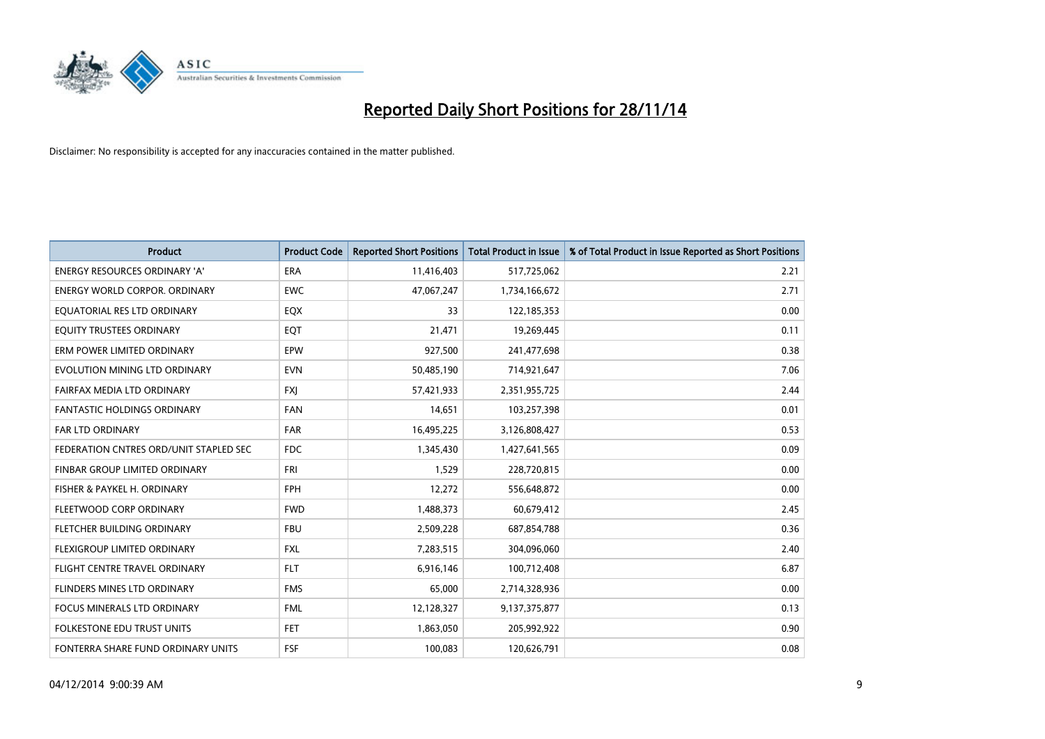

| <b>Product</b>                         | <b>Product Code</b> | <b>Reported Short Positions</b> | <b>Total Product in Issue</b> | % of Total Product in Issue Reported as Short Positions |
|----------------------------------------|---------------------|---------------------------------|-------------------------------|---------------------------------------------------------|
| <b>ENERGY RESOURCES ORDINARY 'A'</b>   | <b>ERA</b>          | 11,416,403                      | 517,725,062                   | 2.21                                                    |
| <b>ENERGY WORLD CORPOR, ORDINARY</b>   | <b>EWC</b>          | 47,067,247                      | 1,734,166,672                 | 2.71                                                    |
| EQUATORIAL RES LTD ORDINARY            | EQX                 | 33                              | 122,185,353                   | 0.00                                                    |
| EQUITY TRUSTEES ORDINARY               | EQT                 | 21,471                          | 19,269,445                    | 0.11                                                    |
| ERM POWER LIMITED ORDINARY             | EPW                 | 927,500                         | 241,477,698                   | 0.38                                                    |
| EVOLUTION MINING LTD ORDINARY          | <b>EVN</b>          | 50,485,190                      | 714,921,647                   | 7.06                                                    |
| FAIRFAX MEDIA LTD ORDINARY             | <b>FXI</b>          | 57,421,933                      | 2,351,955,725                 | 2.44                                                    |
| <b>FANTASTIC HOLDINGS ORDINARY</b>     | <b>FAN</b>          | 14,651                          | 103,257,398                   | 0.01                                                    |
| <b>FAR LTD ORDINARY</b>                | <b>FAR</b>          | 16,495,225                      | 3,126,808,427                 | 0.53                                                    |
| FEDERATION CNTRES ORD/UNIT STAPLED SEC | <b>FDC</b>          | 1,345,430                       | 1,427,641,565                 | 0.09                                                    |
| FINBAR GROUP LIMITED ORDINARY          | <b>FRI</b>          | 1,529                           | 228,720,815                   | 0.00                                                    |
| FISHER & PAYKEL H. ORDINARY            | <b>FPH</b>          | 12,272                          | 556,648,872                   | 0.00                                                    |
| FLEETWOOD CORP ORDINARY                | <b>FWD</b>          | 1,488,373                       | 60,679,412                    | 2.45                                                    |
| FLETCHER BUILDING ORDINARY             | <b>FBU</b>          | 2,509,228                       | 687,854,788                   | 0.36                                                    |
| FLEXIGROUP LIMITED ORDINARY            | <b>FXL</b>          | 7,283,515                       | 304,096,060                   | 2.40                                                    |
| FLIGHT CENTRE TRAVEL ORDINARY          | <b>FLT</b>          | 6,916,146                       | 100,712,408                   | 6.87                                                    |
| FLINDERS MINES LTD ORDINARY            | <b>FMS</b>          | 65,000                          | 2,714,328,936                 | 0.00                                                    |
| <b>FOCUS MINERALS LTD ORDINARY</b>     | <b>FML</b>          | 12,128,327                      | 9,137,375,877                 | 0.13                                                    |
| FOLKESTONE EDU TRUST UNITS             | <b>FET</b>          | 1,863,050                       | 205,992,922                   | 0.90                                                    |
| FONTERRA SHARE FUND ORDINARY UNITS     | <b>FSF</b>          | 100,083                         | 120,626,791                   | 0.08                                                    |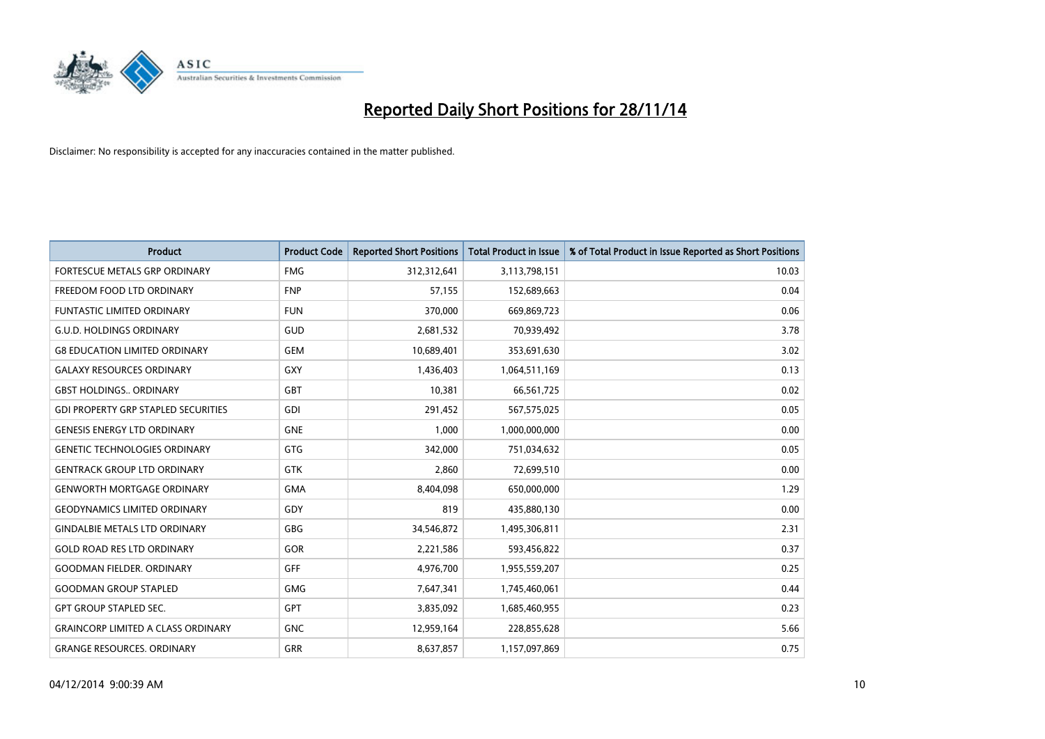

| <b>Product</b>                             | <b>Product Code</b> | <b>Reported Short Positions</b> | <b>Total Product in Issue</b> | % of Total Product in Issue Reported as Short Positions |
|--------------------------------------------|---------------------|---------------------------------|-------------------------------|---------------------------------------------------------|
| FORTESCUE METALS GRP ORDINARY              | <b>FMG</b>          | 312,312,641                     | 3,113,798,151                 | 10.03                                                   |
| FREEDOM FOOD LTD ORDINARY                  | <b>FNP</b>          | 57,155                          | 152,689,663                   | 0.04                                                    |
| <b>FUNTASTIC LIMITED ORDINARY</b>          | <b>FUN</b>          | 370,000                         | 669,869,723                   | 0.06                                                    |
| <b>G.U.D. HOLDINGS ORDINARY</b>            | GUD                 | 2,681,532                       | 70,939,492                    | 3.78                                                    |
| <b>G8 EDUCATION LIMITED ORDINARY</b>       | <b>GEM</b>          | 10,689,401                      | 353,691,630                   | 3.02                                                    |
| <b>GALAXY RESOURCES ORDINARY</b>           | <b>GXY</b>          | 1,436,403                       | 1,064,511,169                 | 0.13                                                    |
| <b>GBST HOLDINGS ORDINARY</b>              | <b>GBT</b>          | 10,381                          | 66,561,725                    | 0.02                                                    |
| <b>GDI PROPERTY GRP STAPLED SECURITIES</b> | GDI                 | 291,452                         | 567,575,025                   | 0.05                                                    |
| <b>GENESIS ENERGY LTD ORDINARY</b>         | <b>GNE</b>          | 1,000                           | 1,000,000,000                 | 0.00                                                    |
| <b>GENETIC TECHNOLOGIES ORDINARY</b>       | <b>GTG</b>          | 342,000                         | 751,034,632                   | 0.05                                                    |
| <b>GENTRACK GROUP LTD ORDINARY</b>         | <b>GTK</b>          | 2,860                           | 72,699,510                    | 0.00                                                    |
| <b>GENWORTH MORTGAGE ORDINARY</b>          | <b>GMA</b>          | 8,404,098                       | 650,000,000                   | 1.29                                                    |
| <b>GEODYNAMICS LIMITED ORDINARY</b>        | GDY                 | 819                             | 435,880,130                   | 0.00                                                    |
| <b>GINDALBIE METALS LTD ORDINARY</b>       | GBG                 | 34,546,872                      | 1,495,306,811                 | 2.31                                                    |
| <b>GOLD ROAD RES LTD ORDINARY</b>          | GOR                 | 2,221,586                       | 593,456,822                   | 0.37                                                    |
| <b>GOODMAN FIELDER, ORDINARY</b>           | GFF                 | 4,976,700                       | 1,955,559,207                 | 0.25                                                    |
| <b>GOODMAN GROUP STAPLED</b>               | <b>GMG</b>          | 7,647,341                       | 1,745,460,061                 | 0.44                                                    |
| <b>GPT GROUP STAPLED SEC.</b>              | <b>GPT</b>          | 3,835,092                       | 1,685,460,955                 | 0.23                                                    |
| <b>GRAINCORP LIMITED A CLASS ORDINARY</b>  | <b>GNC</b>          | 12,959,164                      | 228,855,628                   | 5.66                                                    |
| <b>GRANGE RESOURCES, ORDINARY</b>          | <b>GRR</b>          | 8,637,857                       | 1,157,097,869                 | 0.75                                                    |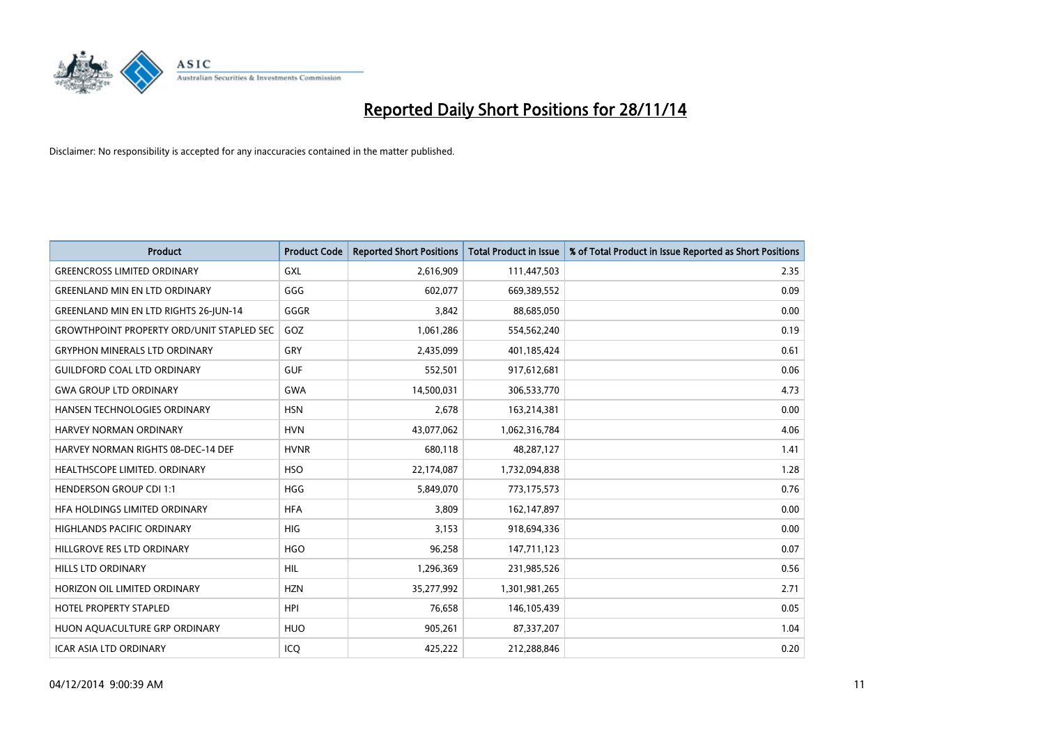

| Product                                          | <b>Product Code</b> | <b>Reported Short Positions</b> | <b>Total Product in Issue</b> | % of Total Product in Issue Reported as Short Positions |
|--------------------------------------------------|---------------------|---------------------------------|-------------------------------|---------------------------------------------------------|
| <b>GREENCROSS LIMITED ORDINARY</b>               | GXL                 | 2,616,909                       | 111,447,503                   | 2.35                                                    |
| <b>GREENLAND MIN EN LTD ORDINARY</b>             | GGG                 | 602,077                         | 669,389,552                   | 0.09                                                    |
| <b>GREENLAND MIN EN LTD RIGHTS 26-JUN-14</b>     | GGGR                | 3,842                           | 88,685,050                    | 0.00                                                    |
| <b>GROWTHPOINT PROPERTY ORD/UNIT STAPLED SEC</b> | GOZ                 | 1,061,286                       | 554,562,240                   | 0.19                                                    |
| <b>GRYPHON MINERALS LTD ORDINARY</b>             | GRY                 | 2,435,099                       | 401,185,424                   | 0.61                                                    |
| <b>GUILDFORD COAL LTD ORDINARY</b>               | <b>GUF</b>          | 552,501                         | 917,612,681                   | 0.06                                                    |
| <b>GWA GROUP LTD ORDINARY</b>                    | <b>GWA</b>          | 14,500,031                      | 306,533,770                   | 4.73                                                    |
| HANSEN TECHNOLOGIES ORDINARY                     | <b>HSN</b>          | 2,678                           | 163,214,381                   | 0.00                                                    |
| HARVEY NORMAN ORDINARY                           | <b>HVN</b>          | 43,077,062                      | 1,062,316,784                 | 4.06                                                    |
| HARVEY NORMAN RIGHTS 08-DEC-14 DEF               | <b>HVNR</b>         | 680,118                         | 48,287,127                    | 1.41                                                    |
| HEALTHSCOPE LIMITED. ORDINARY                    | <b>HSO</b>          | 22,174,087                      | 1,732,094,838                 | 1.28                                                    |
| <b>HENDERSON GROUP CDI 1:1</b>                   | <b>HGG</b>          | 5,849,070                       | 773,175,573                   | 0.76                                                    |
| HEA HOLDINGS LIMITED ORDINARY                    | <b>HFA</b>          | 3,809                           | 162,147,897                   | 0.00                                                    |
| <b>HIGHLANDS PACIFIC ORDINARY</b>                | <b>HIG</b>          | 3,153                           | 918,694,336                   | 0.00                                                    |
| HILLGROVE RES LTD ORDINARY                       | <b>HGO</b>          | 96,258                          | 147,711,123                   | 0.07                                                    |
| <b>HILLS LTD ORDINARY</b>                        | <b>HIL</b>          | 1,296,369                       | 231,985,526                   | 0.56                                                    |
| HORIZON OIL LIMITED ORDINARY                     | <b>HZN</b>          | 35,277,992                      | 1,301,981,265                 | 2.71                                                    |
| <b>HOTEL PROPERTY STAPLED</b>                    | <b>HPI</b>          | 76,658                          | 146,105,439                   | 0.05                                                    |
| HUON AQUACULTURE GRP ORDINARY                    | <b>HUO</b>          | 905,261                         | 87,337,207                    | 1.04                                                    |
| <b>ICAR ASIA LTD ORDINARY</b>                    | ICQ                 | 425,222                         | 212,288,846                   | 0.20                                                    |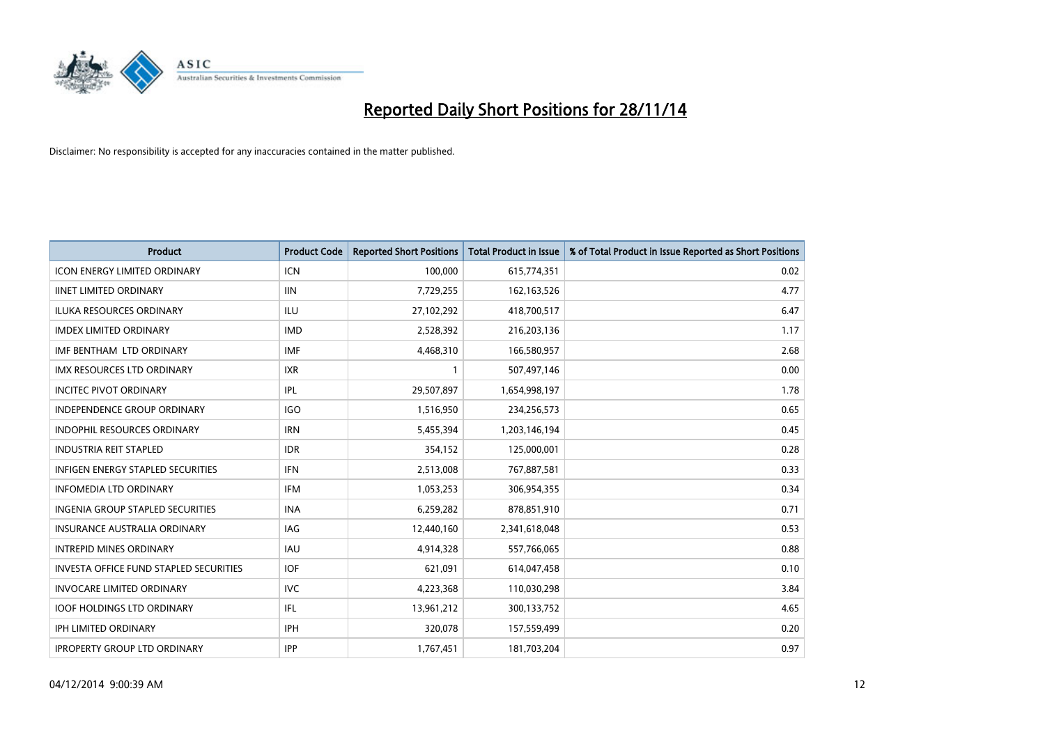

| <b>Product</b>                           | <b>Product Code</b> | <b>Reported Short Positions</b> | <b>Total Product in Issue</b> | % of Total Product in Issue Reported as Short Positions |
|------------------------------------------|---------------------|---------------------------------|-------------------------------|---------------------------------------------------------|
| <b>ICON ENERGY LIMITED ORDINARY</b>      | <b>ICN</b>          | 100,000                         | 615,774,351                   | 0.02                                                    |
| <b>IINET LIMITED ORDINARY</b>            | <b>IIN</b>          | 7,729,255                       | 162,163,526                   | 4.77                                                    |
| <b>ILUKA RESOURCES ORDINARY</b>          | ILU                 | 27,102,292                      | 418,700,517                   | 6.47                                                    |
| <b>IMDEX LIMITED ORDINARY</b>            | <b>IMD</b>          | 2,528,392                       | 216,203,136                   | 1.17                                                    |
| IMF BENTHAM LTD ORDINARY                 | <b>IMF</b>          | 4,468,310                       | 166,580,957                   | 2.68                                                    |
| IMX RESOURCES LTD ORDINARY               | <b>IXR</b>          | $\mathbf{1}$                    | 507,497,146                   | 0.00                                                    |
| <b>INCITEC PIVOT ORDINARY</b>            | IPL                 | 29,507,897                      | 1,654,998,197                 | 1.78                                                    |
| <b>INDEPENDENCE GROUP ORDINARY</b>       | <b>IGO</b>          | 1,516,950                       | 234,256,573                   | 0.65                                                    |
| INDOPHIL RESOURCES ORDINARY              | <b>IRN</b>          | 5,455,394                       | 1,203,146,194                 | 0.45                                                    |
| <b>INDUSTRIA REIT STAPLED</b>            | <b>IDR</b>          | 354,152                         | 125,000,001                   | 0.28                                                    |
| <b>INFIGEN ENERGY STAPLED SECURITIES</b> | <b>IFN</b>          | 2,513,008                       | 767,887,581                   | 0.33                                                    |
| <b>INFOMEDIA LTD ORDINARY</b>            | IFM                 | 1,053,253                       | 306,954,355                   | 0.34                                                    |
| INGENIA GROUP STAPLED SECURITIES         | <b>INA</b>          | 6,259,282                       | 878,851,910                   | 0.71                                                    |
| <b>INSURANCE AUSTRALIA ORDINARY</b>      | IAG                 | 12,440,160                      | 2,341,618,048                 | 0.53                                                    |
| <b>INTREPID MINES ORDINARY</b>           | <b>IAU</b>          | 4,914,328                       | 557,766,065                   | 0.88                                                    |
| INVESTA OFFICE FUND STAPLED SECURITIES   | <b>IOF</b>          | 621,091                         | 614,047,458                   | 0.10                                                    |
| <b>INVOCARE LIMITED ORDINARY</b>         | <b>IVC</b>          | 4,223,368                       | 110,030,298                   | 3.84                                                    |
| <b>IOOF HOLDINGS LTD ORDINARY</b>        | IFL                 | 13,961,212                      | 300,133,752                   | 4.65                                                    |
| <b>IPH LIMITED ORDINARY</b>              | <b>IPH</b>          | 320,078                         | 157,559,499                   | 0.20                                                    |
| <b>IPROPERTY GROUP LTD ORDINARY</b>      | <b>IPP</b>          | 1,767,451                       | 181,703,204                   | 0.97                                                    |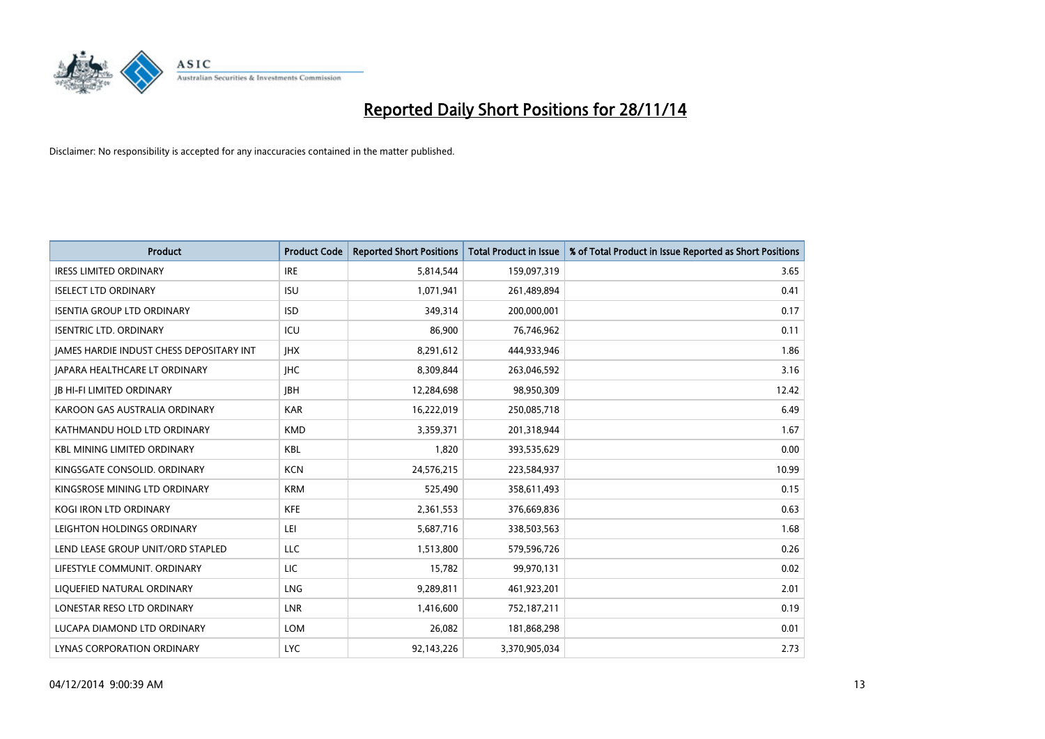

| <b>Product</b>                                  | <b>Product Code</b> | <b>Reported Short Positions</b> | <b>Total Product in Issue</b> | % of Total Product in Issue Reported as Short Positions |
|-------------------------------------------------|---------------------|---------------------------------|-------------------------------|---------------------------------------------------------|
| <b>IRESS LIMITED ORDINARY</b>                   | <b>IRE</b>          | 5,814,544                       | 159,097,319                   | 3.65                                                    |
| <b>ISELECT LTD ORDINARY</b>                     | <b>ISU</b>          | 1,071,941                       | 261,489,894                   | 0.41                                                    |
| <b>ISENTIA GROUP LTD ORDINARY</b>               | <b>ISD</b>          | 349,314                         | 200,000,001                   | 0.17                                                    |
| <b>ISENTRIC LTD. ORDINARY</b>                   | ICU                 | 86,900                          | 76,746,962                    | 0.11                                                    |
| <b>IAMES HARDIE INDUST CHESS DEPOSITARY INT</b> | <b>IHX</b>          | 8,291,612                       | 444,933,946                   | 1.86                                                    |
| JAPARA HEALTHCARE LT ORDINARY                   | <b>IHC</b>          | 8,309,844                       | 263,046,592                   | 3.16                                                    |
| <b>JB HI-FI LIMITED ORDINARY</b>                | <b>IBH</b>          | 12,284,698                      | 98,950,309                    | 12.42                                                   |
| KAROON GAS AUSTRALIA ORDINARY                   | <b>KAR</b>          | 16,222,019                      | 250,085,718                   | 6.49                                                    |
| KATHMANDU HOLD LTD ORDINARY                     | <b>KMD</b>          | 3,359,371                       | 201,318,944                   | 1.67                                                    |
| <b>KBL MINING LIMITED ORDINARY</b>              | <b>KBL</b>          | 1,820                           | 393,535,629                   | 0.00                                                    |
| KINGSGATE CONSOLID. ORDINARY                    | <b>KCN</b>          | 24,576,215                      | 223,584,937                   | 10.99                                                   |
| KINGSROSE MINING LTD ORDINARY                   | <b>KRM</b>          | 525,490                         | 358,611,493                   | 0.15                                                    |
| KOGI IRON LTD ORDINARY                          | <b>KFE</b>          | 2,361,553                       | 376,669,836                   | 0.63                                                    |
| LEIGHTON HOLDINGS ORDINARY                      | LEI                 | 5,687,716                       | 338,503,563                   | 1.68                                                    |
| LEND LEASE GROUP UNIT/ORD STAPLED               | <b>LLC</b>          | 1,513,800                       | 579,596,726                   | 0.26                                                    |
| LIFESTYLE COMMUNIT. ORDINARY                    | LIC                 | 15,782                          | 99,970,131                    | 0.02                                                    |
| LIQUEFIED NATURAL ORDINARY                      | LNG                 | 9,289,811                       | 461,923,201                   | 2.01                                                    |
| LONESTAR RESO LTD ORDINARY                      | <b>LNR</b>          | 1,416,600                       | 752,187,211                   | 0.19                                                    |
| LUCAPA DIAMOND LTD ORDINARY                     | <b>LOM</b>          | 26,082                          | 181,868,298                   | 0.01                                                    |
| LYNAS CORPORATION ORDINARY                      | <b>LYC</b>          | 92,143,226                      | 3,370,905,034                 | 2.73                                                    |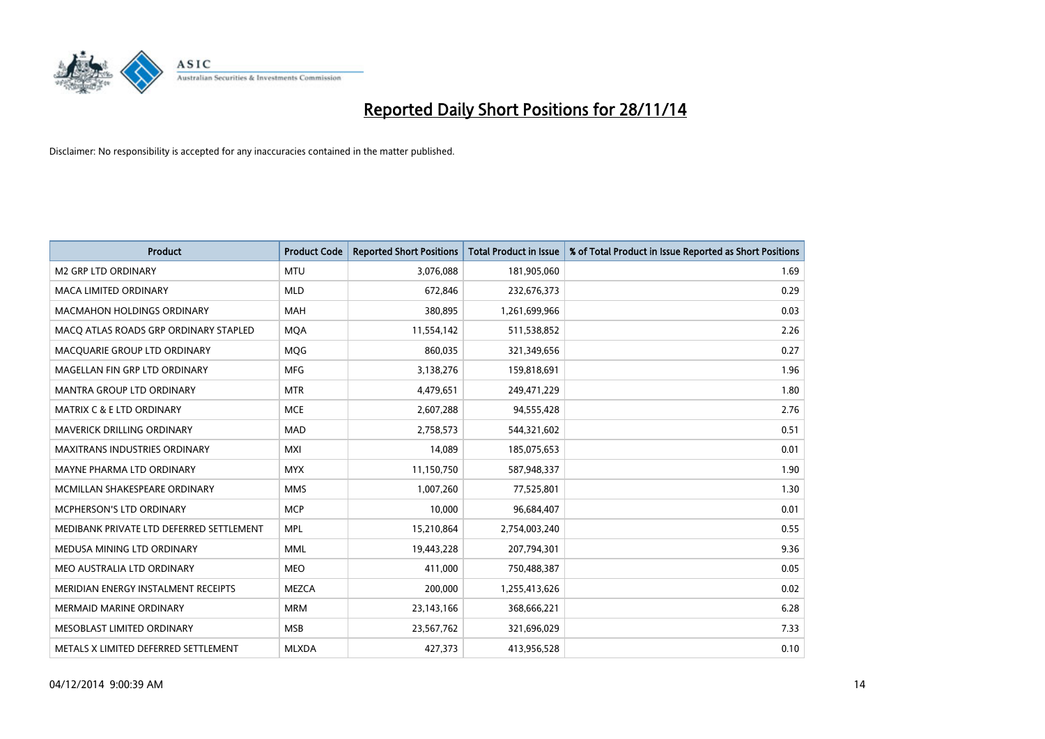

| <b>Product</b>                           | <b>Product Code</b> | <b>Reported Short Positions</b> | <b>Total Product in Issue</b> | % of Total Product in Issue Reported as Short Positions |
|------------------------------------------|---------------------|---------------------------------|-------------------------------|---------------------------------------------------------|
| <b>M2 GRP LTD ORDINARY</b>               | <b>MTU</b>          | 3,076,088                       | 181,905,060                   | 1.69                                                    |
| MACA LIMITED ORDINARY                    | <b>MLD</b>          | 672,846                         | 232,676,373                   | 0.29                                                    |
| <b>MACMAHON HOLDINGS ORDINARY</b>        | <b>MAH</b>          | 380,895                         | 1,261,699,966                 | 0.03                                                    |
| MACO ATLAS ROADS GRP ORDINARY STAPLED    | <b>MOA</b>          | 11,554,142                      | 511,538,852                   | 2.26                                                    |
| MACOUARIE GROUP LTD ORDINARY             | MQG                 | 860,035                         | 321,349,656                   | 0.27                                                    |
| MAGELLAN FIN GRP LTD ORDINARY            | <b>MFG</b>          | 3,138,276                       | 159,818,691                   | 1.96                                                    |
| <b>MANTRA GROUP LTD ORDINARY</b>         | <b>MTR</b>          | 4,479,651                       | 249,471,229                   | 1.80                                                    |
| <b>MATRIX C &amp; E LTD ORDINARY</b>     | <b>MCE</b>          | 2,607,288                       | 94,555,428                    | 2.76                                                    |
| <b>MAVERICK DRILLING ORDINARY</b>        | <b>MAD</b>          | 2,758,573                       | 544,321,602                   | 0.51                                                    |
| <b>MAXITRANS INDUSTRIES ORDINARY</b>     | <b>MXI</b>          | 14,089                          | 185,075,653                   | 0.01                                                    |
| MAYNE PHARMA LTD ORDINARY                | <b>MYX</b>          | 11,150,750                      | 587,948,337                   | 1.90                                                    |
| MCMILLAN SHAKESPEARE ORDINARY            | <b>MMS</b>          | 1,007,260                       | 77,525,801                    | 1.30                                                    |
| <b>MCPHERSON'S LTD ORDINARY</b>          | <b>MCP</b>          | 10,000                          | 96,684,407                    | 0.01                                                    |
| MEDIBANK PRIVATE LTD DEFERRED SETTLEMENT | <b>MPL</b>          | 15,210,864                      | 2,754,003,240                 | 0.55                                                    |
| MEDUSA MINING LTD ORDINARY               | <b>MML</b>          | 19,443,228                      | 207,794,301                   | 9.36                                                    |
| MEO AUSTRALIA LTD ORDINARY               | <b>MEO</b>          | 411,000                         | 750,488,387                   | 0.05                                                    |
| MERIDIAN ENERGY INSTALMENT RECEIPTS      | <b>MEZCA</b>        | 200,000                         | 1,255,413,626                 | 0.02                                                    |
| <b>MERMAID MARINE ORDINARY</b>           | <b>MRM</b>          | 23,143,166                      | 368,666,221                   | 6.28                                                    |
| MESOBLAST LIMITED ORDINARY               | <b>MSB</b>          | 23,567,762                      | 321,696,029                   | 7.33                                                    |
| METALS X LIMITED DEFERRED SETTLEMENT     | <b>MLXDA</b>        | 427,373                         | 413,956,528                   | 0.10                                                    |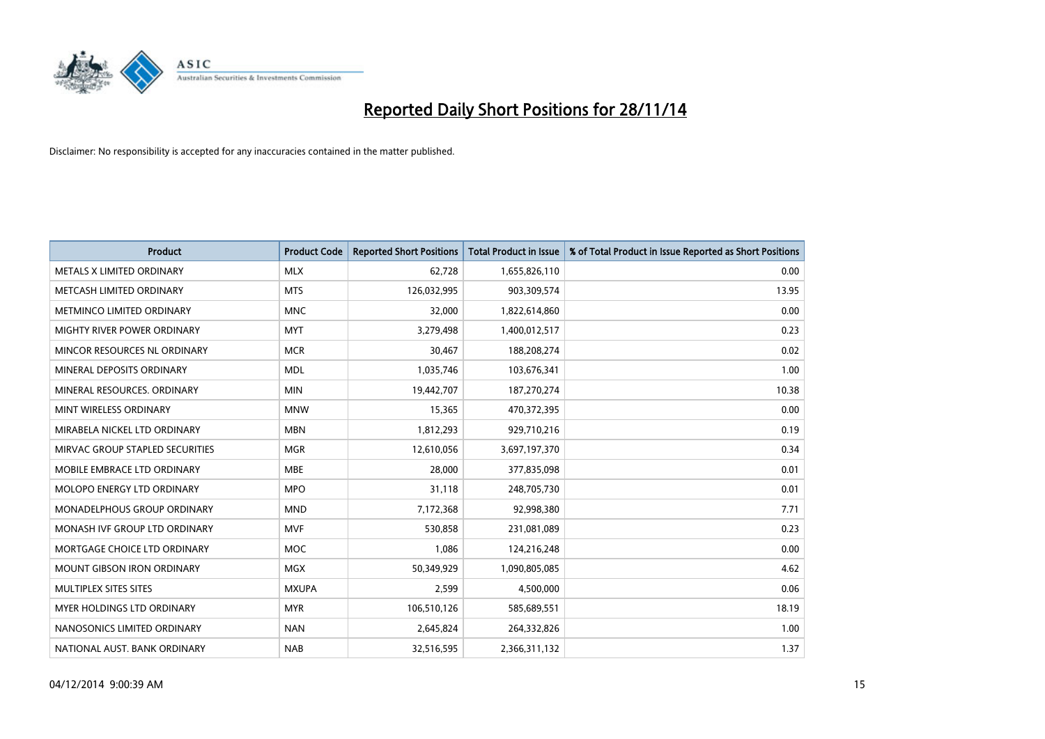

| <b>Product</b>                    | <b>Product Code</b> | <b>Reported Short Positions</b> | <b>Total Product in Issue</b> | % of Total Product in Issue Reported as Short Positions |
|-----------------------------------|---------------------|---------------------------------|-------------------------------|---------------------------------------------------------|
| METALS X LIMITED ORDINARY         | <b>MLX</b>          | 62,728                          | 1,655,826,110                 | 0.00                                                    |
| METCASH LIMITED ORDINARY          | <b>MTS</b>          | 126,032,995                     | 903,309,574                   | 13.95                                                   |
| METMINCO LIMITED ORDINARY         | <b>MNC</b>          | 32,000                          | 1,822,614,860                 | 0.00                                                    |
| MIGHTY RIVER POWER ORDINARY       | <b>MYT</b>          | 3,279,498                       | 1,400,012,517                 | 0.23                                                    |
| MINCOR RESOURCES NL ORDINARY      | <b>MCR</b>          | 30,467                          | 188,208,274                   | 0.02                                                    |
| MINERAL DEPOSITS ORDINARY         | <b>MDL</b>          | 1,035,746                       | 103,676,341                   | 1.00                                                    |
| MINERAL RESOURCES, ORDINARY       | <b>MIN</b>          | 19,442,707                      | 187,270,274                   | 10.38                                                   |
| MINT WIRELESS ORDINARY            | <b>MNW</b>          | 15,365                          | 470,372,395                   | 0.00                                                    |
| MIRABELA NICKEL LTD ORDINARY      | <b>MBN</b>          | 1,812,293                       | 929,710,216                   | 0.19                                                    |
| MIRVAC GROUP STAPLED SECURITIES   | <b>MGR</b>          | 12,610,056                      | 3,697,197,370                 | 0.34                                                    |
| MOBILE EMBRACE LTD ORDINARY       | <b>MBE</b>          | 28,000                          | 377,835,098                   | 0.01                                                    |
| MOLOPO ENERGY LTD ORDINARY        | <b>MPO</b>          | 31,118                          | 248,705,730                   | 0.01                                                    |
| MONADELPHOUS GROUP ORDINARY       | <b>MND</b>          | 7,172,368                       | 92,998,380                    | 7.71                                                    |
| MONASH IVF GROUP LTD ORDINARY     | <b>MVF</b>          | 530,858                         | 231,081,089                   | 0.23                                                    |
| MORTGAGE CHOICE LTD ORDINARY      | MOC                 | 1,086                           | 124,216,248                   | 0.00                                                    |
| <b>MOUNT GIBSON IRON ORDINARY</b> | <b>MGX</b>          | 50,349,929                      | 1,090,805,085                 | 4.62                                                    |
| MULTIPLEX SITES SITES             | <b>MXUPA</b>        | 2,599                           | 4,500,000                     | 0.06                                                    |
| MYER HOLDINGS LTD ORDINARY        | <b>MYR</b>          | 106,510,126                     | 585,689,551                   | 18.19                                                   |
| NANOSONICS LIMITED ORDINARY       | <b>NAN</b>          | 2,645,824                       | 264,332,826                   | 1.00                                                    |
| NATIONAL AUST. BANK ORDINARY      | <b>NAB</b>          | 32,516,595                      | 2,366,311,132                 | 1.37                                                    |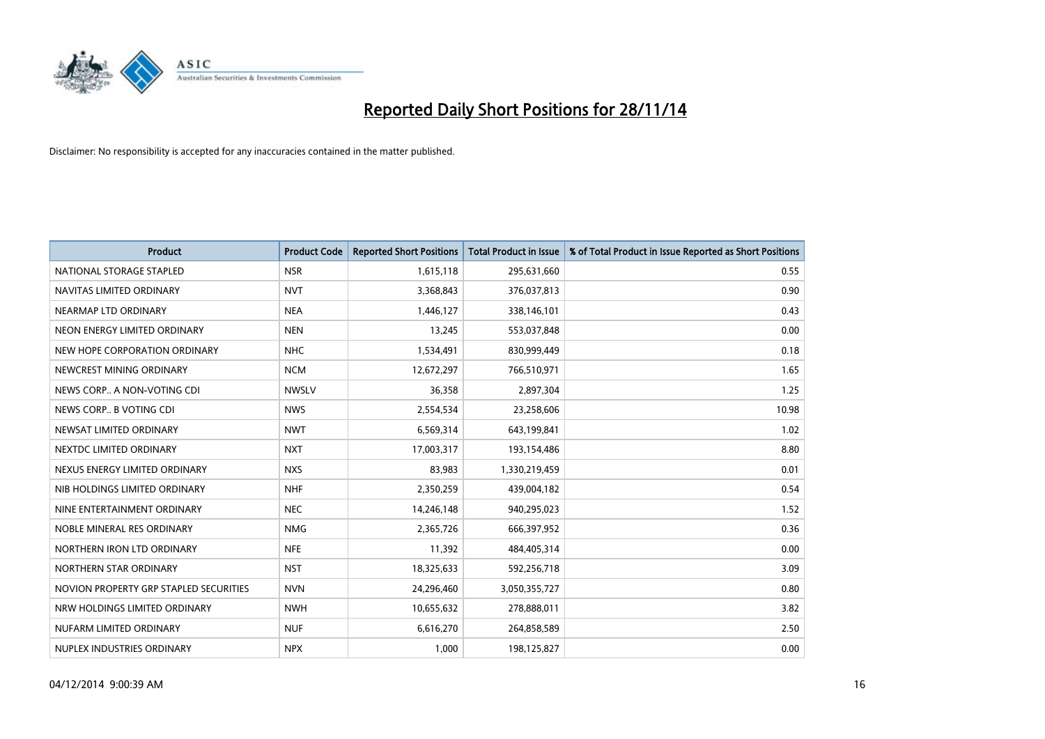

| <b>Product</b>                         | <b>Product Code</b> | <b>Reported Short Positions</b> | <b>Total Product in Issue</b> | % of Total Product in Issue Reported as Short Positions |
|----------------------------------------|---------------------|---------------------------------|-------------------------------|---------------------------------------------------------|
| NATIONAL STORAGE STAPLED               | <b>NSR</b>          | 1,615,118                       | 295,631,660                   | 0.55                                                    |
| NAVITAS LIMITED ORDINARY               | <b>NVT</b>          | 3,368,843                       | 376,037,813                   | 0.90                                                    |
| NEARMAP LTD ORDINARY                   | <b>NEA</b>          | 1,446,127                       | 338,146,101                   | 0.43                                                    |
| NEON ENERGY LIMITED ORDINARY           | <b>NEN</b>          | 13,245                          | 553,037,848                   | 0.00                                                    |
| NEW HOPE CORPORATION ORDINARY          | <b>NHC</b>          | 1,534,491                       | 830,999,449                   | 0.18                                                    |
| NEWCREST MINING ORDINARY               | <b>NCM</b>          | 12,672,297                      | 766,510,971                   | 1.65                                                    |
| NEWS CORP A NON-VOTING CDI             | <b>NWSLV</b>        | 36,358                          | 2,897,304                     | 1.25                                                    |
| NEWS CORP B VOTING CDI                 | <b>NWS</b>          | 2,554,534                       | 23,258,606                    | 10.98                                                   |
| NEWSAT LIMITED ORDINARY                | <b>NWT</b>          | 6,569,314                       | 643,199,841                   | 1.02                                                    |
| NEXTDC LIMITED ORDINARY                | <b>NXT</b>          | 17,003,317                      | 193,154,486                   | 8.80                                                    |
| NEXUS ENERGY LIMITED ORDINARY          | <b>NXS</b>          | 83,983                          | 1,330,219,459                 | 0.01                                                    |
| NIB HOLDINGS LIMITED ORDINARY          | <b>NHF</b>          | 2,350,259                       | 439,004,182                   | 0.54                                                    |
| NINE ENTERTAINMENT ORDINARY            | <b>NEC</b>          | 14,246,148                      | 940,295,023                   | 1.52                                                    |
| NOBLE MINERAL RES ORDINARY             | <b>NMG</b>          | 2,365,726                       | 666,397,952                   | 0.36                                                    |
| NORTHERN IRON LTD ORDINARY             | <b>NFE</b>          | 11,392                          | 484,405,314                   | 0.00                                                    |
| NORTHERN STAR ORDINARY                 | <b>NST</b>          | 18,325,633                      | 592,256,718                   | 3.09                                                    |
| NOVION PROPERTY GRP STAPLED SECURITIES | <b>NVN</b>          | 24,296,460                      | 3,050,355,727                 | 0.80                                                    |
| NRW HOLDINGS LIMITED ORDINARY          | <b>NWH</b>          | 10,655,632                      | 278,888,011                   | 3.82                                                    |
| NUFARM LIMITED ORDINARY                | <b>NUF</b>          | 6,616,270                       | 264,858,589                   | 2.50                                                    |
| NUPLEX INDUSTRIES ORDINARY             | <b>NPX</b>          | 1,000                           | 198,125,827                   | 0.00                                                    |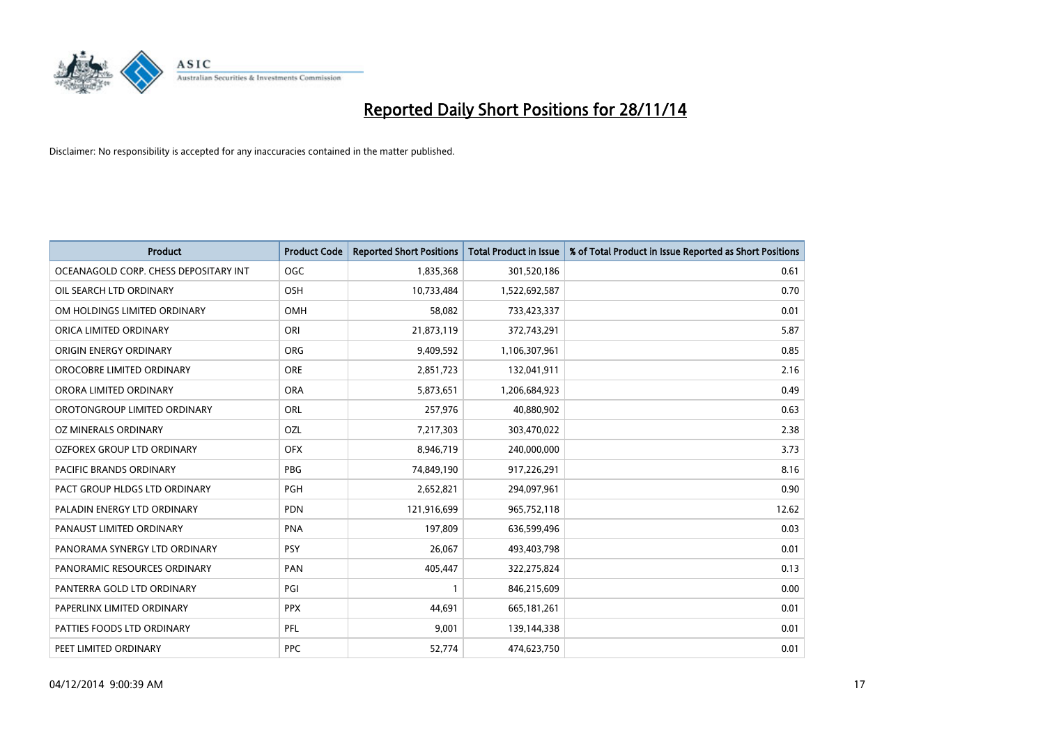

| <b>Product</b>                        | <b>Product Code</b> | <b>Reported Short Positions</b> | <b>Total Product in Issue</b> | % of Total Product in Issue Reported as Short Positions |
|---------------------------------------|---------------------|---------------------------------|-------------------------------|---------------------------------------------------------|
| OCEANAGOLD CORP. CHESS DEPOSITARY INT | <b>OGC</b>          | 1,835,368                       | 301,520,186                   | 0.61                                                    |
| OIL SEARCH LTD ORDINARY               | OSH                 | 10,733,484                      | 1,522,692,587                 | 0.70                                                    |
| OM HOLDINGS LIMITED ORDINARY          | <b>OMH</b>          | 58,082                          | 733,423,337                   | 0.01                                                    |
| ORICA LIMITED ORDINARY                | ORI                 | 21,873,119                      | 372,743,291                   | 5.87                                                    |
| ORIGIN ENERGY ORDINARY                | <b>ORG</b>          | 9,409,592                       | 1,106,307,961                 | 0.85                                                    |
| OROCOBRE LIMITED ORDINARY             | <b>ORE</b>          | 2,851,723                       | 132,041,911                   | 2.16                                                    |
| ORORA LIMITED ORDINARY                | <b>ORA</b>          | 5,873,651                       | 1,206,684,923                 | 0.49                                                    |
| OROTONGROUP LIMITED ORDINARY          | <b>ORL</b>          | 257,976                         | 40,880,902                    | 0.63                                                    |
| OZ MINERALS ORDINARY                  | <b>OZL</b>          | 7,217,303                       | 303,470,022                   | 2.38                                                    |
| OZFOREX GROUP LTD ORDINARY            | <b>OFX</b>          | 8,946,719                       | 240,000,000                   | 3.73                                                    |
| PACIFIC BRANDS ORDINARY               | <b>PBG</b>          | 74,849,190                      | 917,226,291                   | 8.16                                                    |
| PACT GROUP HLDGS LTD ORDINARY         | PGH                 | 2,652,821                       | 294,097,961                   | 0.90                                                    |
| PALADIN ENERGY LTD ORDINARY           | <b>PDN</b>          | 121,916,699                     | 965,752,118                   | 12.62                                                   |
| PANAUST LIMITED ORDINARY              | <b>PNA</b>          | 197,809                         | 636,599,496                   | 0.03                                                    |
| PANORAMA SYNERGY LTD ORDINARY         | <b>PSY</b>          | 26,067                          | 493,403,798                   | 0.01                                                    |
| PANORAMIC RESOURCES ORDINARY          | PAN                 | 405,447                         | 322,275,824                   | 0.13                                                    |
| PANTERRA GOLD LTD ORDINARY            | PGI                 | $\mathbf{1}$                    | 846,215,609                   | 0.00                                                    |
| PAPERLINX LIMITED ORDINARY            | <b>PPX</b>          | 44,691                          | 665,181,261                   | 0.01                                                    |
| PATTIES FOODS LTD ORDINARY            | PFL                 | 9,001                           | 139,144,338                   | 0.01                                                    |
| PEET LIMITED ORDINARY                 | <b>PPC</b>          | 52,774                          | 474,623,750                   | 0.01                                                    |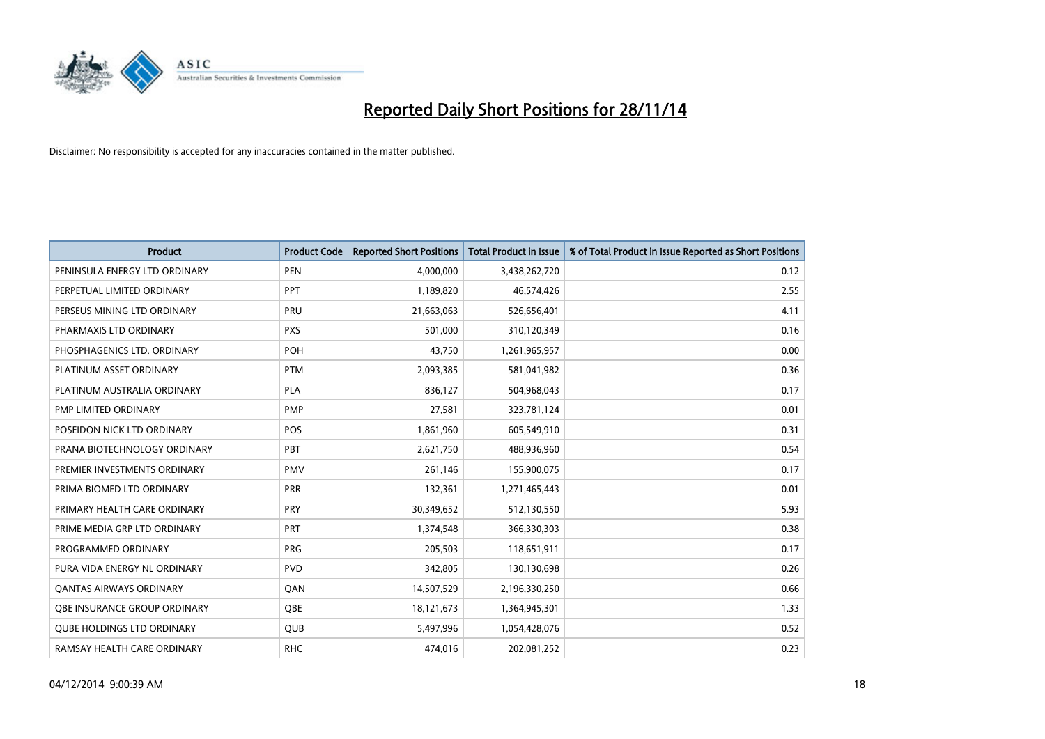

| <b>Product</b>                      | <b>Product Code</b> | <b>Reported Short Positions</b> | <b>Total Product in Issue</b> | % of Total Product in Issue Reported as Short Positions |
|-------------------------------------|---------------------|---------------------------------|-------------------------------|---------------------------------------------------------|
| PENINSULA ENERGY LTD ORDINARY       | <b>PEN</b>          | 4,000,000                       | 3,438,262,720                 | 0.12                                                    |
| PERPETUAL LIMITED ORDINARY          | <b>PPT</b>          | 1,189,820                       | 46,574,426                    | 2.55                                                    |
| PERSEUS MINING LTD ORDINARY         | <b>PRU</b>          | 21,663,063                      | 526,656,401                   | 4.11                                                    |
| PHARMAXIS LTD ORDINARY              | <b>PXS</b>          | 501,000                         | 310,120,349                   | 0.16                                                    |
| PHOSPHAGENICS LTD. ORDINARY         | <b>POH</b>          | 43,750                          | 1,261,965,957                 | 0.00                                                    |
| PLATINUM ASSET ORDINARY             | <b>PTM</b>          | 2,093,385                       | 581,041,982                   | 0.36                                                    |
| PLATINUM AUSTRALIA ORDINARY         | <b>PLA</b>          | 836,127                         | 504,968,043                   | 0.17                                                    |
| PMP LIMITED ORDINARY                | <b>PMP</b>          | 27,581                          | 323,781,124                   | 0.01                                                    |
| POSEIDON NICK LTD ORDINARY          | <b>POS</b>          | 1,861,960                       | 605,549,910                   | 0.31                                                    |
| PRANA BIOTECHNOLOGY ORDINARY        | PBT                 | 2,621,750                       | 488,936,960                   | 0.54                                                    |
| PREMIER INVESTMENTS ORDINARY        | <b>PMV</b>          | 261,146                         | 155,900,075                   | 0.17                                                    |
| PRIMA BIOMED LTD ORDINARY           | <b>PRR</b>          | 132,361                         | 1,271,465,443                 | 0.01                                                    |
| PRIMARY HEALTH CARE ORDINARY        | <b>PRY</b>          | 30,349,652                      | 512,130,550                   | 5.93                                                    |
| PRIME MEDIA GRP LTD ORDINARY        | PRT                 | 1,374,548                       | 366,330,303                   | 0.38                                                    |
| PROGRAMMED ORDINARY                 | <b>PRG</b>          | 205,503                         | 118,651,911                   | 0.17                                                    |
| PURA VIDA ENERGY NL ORDINARY        | <b>PVD</b>          | 342,805                         | 130,130,698                   | 0.26                                                    |
| <b>QANTAS AIRWAYS ORDINARY</b>      | QAN                 | 14,507,529                      | 2,196,330,250                 | 0.66                                                    |
| <b>OBE INSURANCE GROUP ORDINARY</b> | <b>OBE</b>          | 18,121,673                      | 1,364,945,301                 | 1.33                                                    |
| <b>QUBE HOLDINGS LTD ORDINARY</b>   | <b>QUB</b>          | 5,497,996                       | 1,054,428,076                 | 0.52                                                    |
| RAMSAY HEALTH CARE ORDINARY         | <b>RHC</b>          | 474,016                         | 202,081,252                   | 0.23                                                    |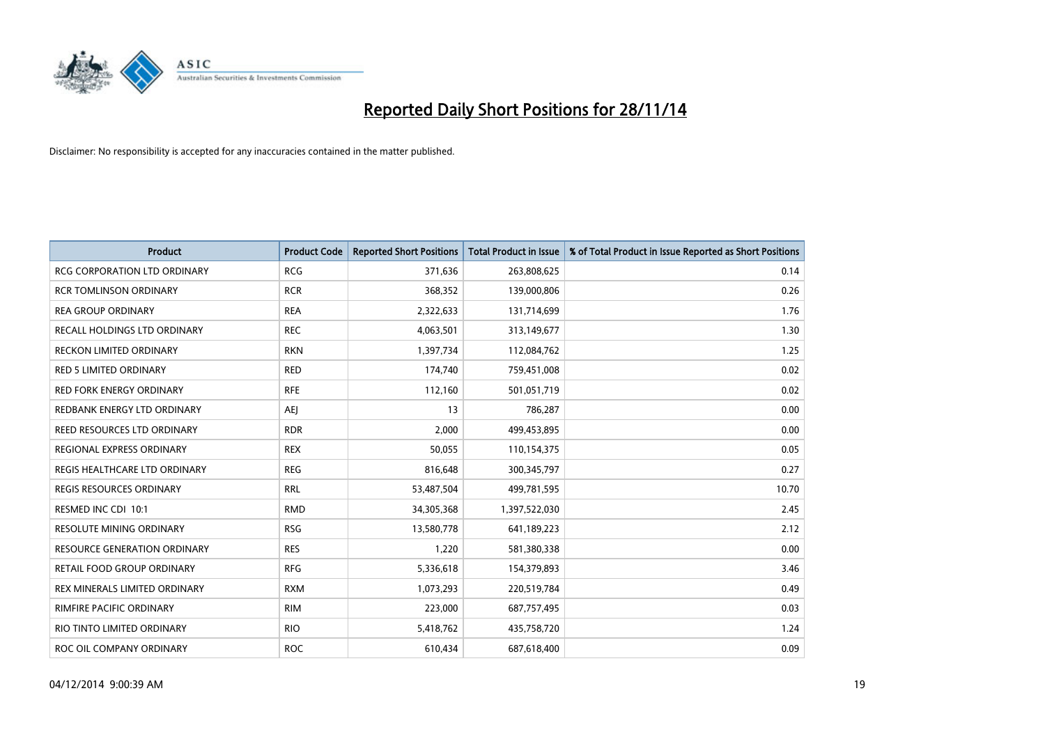

| <b>Product</b>                      | <b>Product Code</b> | <b>Reported Short Positions</b> | <b>Total Product in Issue</b> | % of Total Product in Issue Reported as Short Positions |
|-------------------------------------|---------------------|---------------------------------|-------------------------------|---------------------------------------------------------|
| <b>RCG CORPORATION LTD ORDINARY</b> | <b>RCG</b>          | 371,636                         | 263,808,625                   | 0.14                                                    |
| <b>RCR TOMLINSON ORDINARY</b>       | <b>RCR</b>          | 368,352                         | 139,000,806                   | 0.26                                                    |
| <b>REA GROUP ORDINARY</b>           | <b>REA</b>          | 2,322,633                       | 131,714,699                   | 1.76                                                    |
| RECALL HOLDINGS LTD ORDINARY        | <b>REC</b>          | 4,063,501                       | 313,149,677                   | 1.30                                                    |
| RECKON LIMITED ORDINARY             | <b>RKN</b>          | 1,397,734                       | 112,084,762                   | 1.25                                                    |
| <b>RED 5 LIMITED ORDINARY</b>       | <b>RED</b>          | 174,740                         | 759,451,008                   | 0.02                                                    |
| <b>RED FORK ENERGY ORDINARY</b>     | <b>RFE</b>          | 112,160                         | 501,051,719                   | 0.02                                                    |
| REDBANK ENERGY LTD ORDINARY         | AEJ                 | 13                              | 786,287                       | 0.00                                                    |
| REED RESOURCES LTD ORDINARY         | <b>RDR</b>          | 2,000                           | 499,453,895                   | 0.00                                                    |
| REGIONAL EXPRESS ORDINARY           | <b>REX</b>          | 50,055                          | 110,154,375                   | 0.05                                                    |
| REGIS HEALTHCARE LTD ORDINARY       | <b>REG</b>          | 816,648                         | 300,345,797                   | 0.27                                                    |
| <b>REGIS RESOURCES ORDINARY</b>     | <b>RRL</b>          | 53,487,504                      | 499,781,595                   | 10.70                                                   |
| RESMED INC CDI 10:1                 | <b>RMD</b>          | 34,305,368                      | 1,397,522,030                 | 2.45                                                    |
| <b>RESOLUTE MINING ORDINARY</b>     | <b>RSG</b>          | 13,580,778                      | 641,189,223                   | 2.12                                                    |
| <b>RESOURCE GENERATION ORDINARY</b> | <b>RES</b>          | 1,220                           | 581,380,338                   | 0.00                                                    |
| RETAIL FOOD GROUP ORDINARY          | <b>RFG</b>          | 5,336,618                       | 154,379,893                   | 3.46                                                    |
| REX MINERALS LIMITED ORDINARY       | <b>RXM</b>          | 1,073,293                       | 220,519,784                   | 0.49                                                    |
| RIMFIRE PACIFIC ORDINARY            | <b>RIM</b>          | 223,000                         | 687,757,495                   | 0.03                                                    |
| RIO TINTO LIMITED ORDINARY          | <b>RIO</b>          | 5,418,762                       | 435,758,720                   | 1.24                                                    |
| ROC OIL COMPANY ORDINARY            | <b>ROC</b>          | 610,434                         | 687,618,400                   | 0.09                                                    |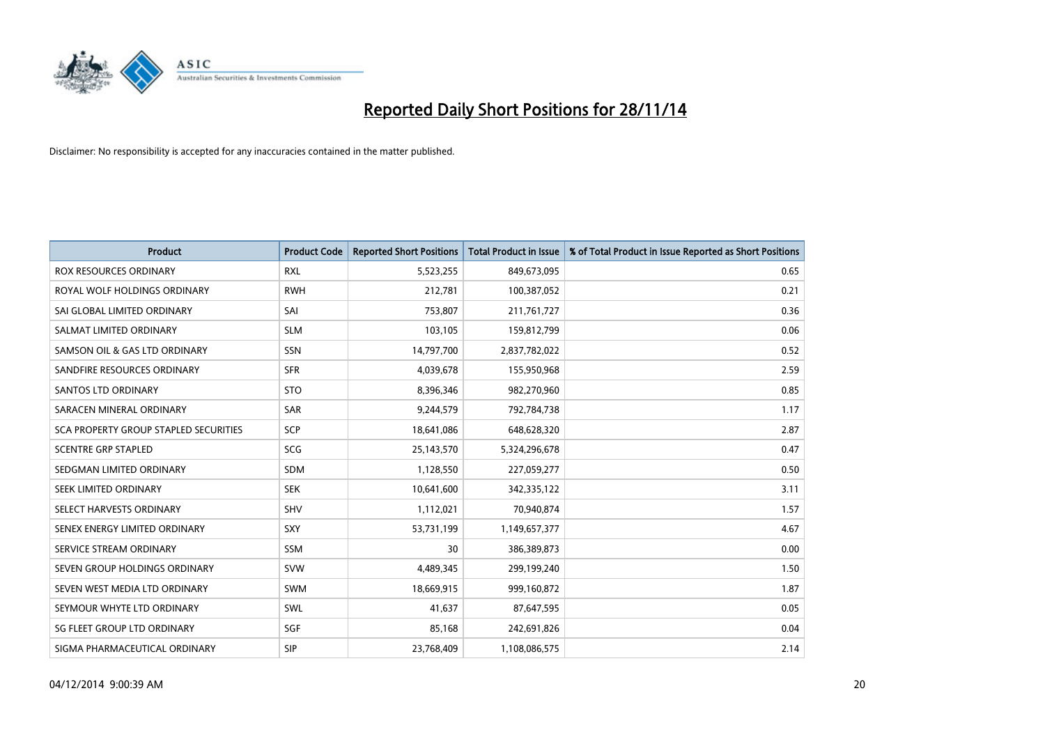

| <b>Product</b>                        | <b>Product Code</b> | <b>Reported Short Positions</b> | <b>Total Product in Issue</b> | % of Total Product in Issue Reported as Short Positions |
|---------------------------------------|---------------------|---------------------------------|-------------------------------|---------------------------------------------------------|
| <b>ROX RESOURCES ORDINARY</b>         | <b>RXL</b>          | 5,523,255                       | 849,673,095                   | 0.65                                                    |
| ROYAL WOLF HOLDINGS ORDINARY          | <b>RWH</b>          | 212,781                         | 100,387,052                   | 0.21                                                    |
| SAI GLOBAL LIMITED ORDINARY           | SAI                 | 753,807                         | 211,761,727                   | 0.36                                                    |
| SALMAT LIMITED ORDINARY               | <b>SLM</b>          | 103,105                         | 159,812,799                   | 0.06                                                    |
| SAMSON OIL & GAS LTD ORDINARY         | SSN                 | 14,797,700                      | 2,837,782,022                 | 0.52                                                    |
| SANDFIRE RESOURCES ORDINARY           | <b>SFR</b>          | 4,039,678                       | 155,950,968                   | 2.59                                                    |
| SANTOS LTD ORDINARY                   | <b>STO</b>          | 8,396,346                       | 982,270,960                   | 0.85                                                    |
| SARACEN MINERAL ORDINARY              | <b>SAR</b>          | 9,244,579                       | 792,784,738                   | 1.17                                                    |
| SCA PROPERTY GROUP STAPLED SECURITIES | <b>SCP</b>          | 18,641,086                      | 648,628,320                   | 2.87                                                    |
| <b>SCENTRE GRP STAPLED</b>            | SCG                 | 25,143,570                      | 5,324,296,678                 | 0.47                                                    |
| SEDGMAN LIMITED ORDINARY              | SDM                 | 1,128,550                       | 227,059,277                   | 0.50                                                    |
| SEEK LIMITED ORDINARY                 | <b>SEK</b>          | 10,641,600                      | 342,335,122                   | 3.11                                                    |
| SELECT HARVESTS ORDINARY              | SHV                 | 1,112,021                       | 70,940,874                    | 1.57                                                    |
| SENEX ENERGY LIMITED ORDINARY         | <b>SXY</b>          | 53,731,199                      | 1,149,657,377                 | 4.67                                                    |
| SERVICE STREAM ORDINARY               | SSM                 | 30                              | 386,389,873                   | 0.00                                                    |
| SEVEN GROUP HOLDINGS ORDINARY         | <b>SVW</b>          | 4,489,345                       | 299,199,240                   | 1.50                                                    |
| SEVEN WEST MEDIA LTD ORDINARY         | SWM                 | 18,669,915                      | 999,160,872                   | 1.87                                                    |
| SEYMOUR WHYTE LTD ORDINARY            | SWL                 | 41.637                          | 87,647,595                    | 0.05                                                    |
| SG FLEET GROUP LTD ORDINARY           | SGF                 | 85,168                          | 242,691,826                   | 0.04                                                    |
| SIGMA PHARMACEUTICAL ORDINARY         | <b>SIP</b>          | 23,768,409                      | 1,108,086,575                 | 2.14                                                    |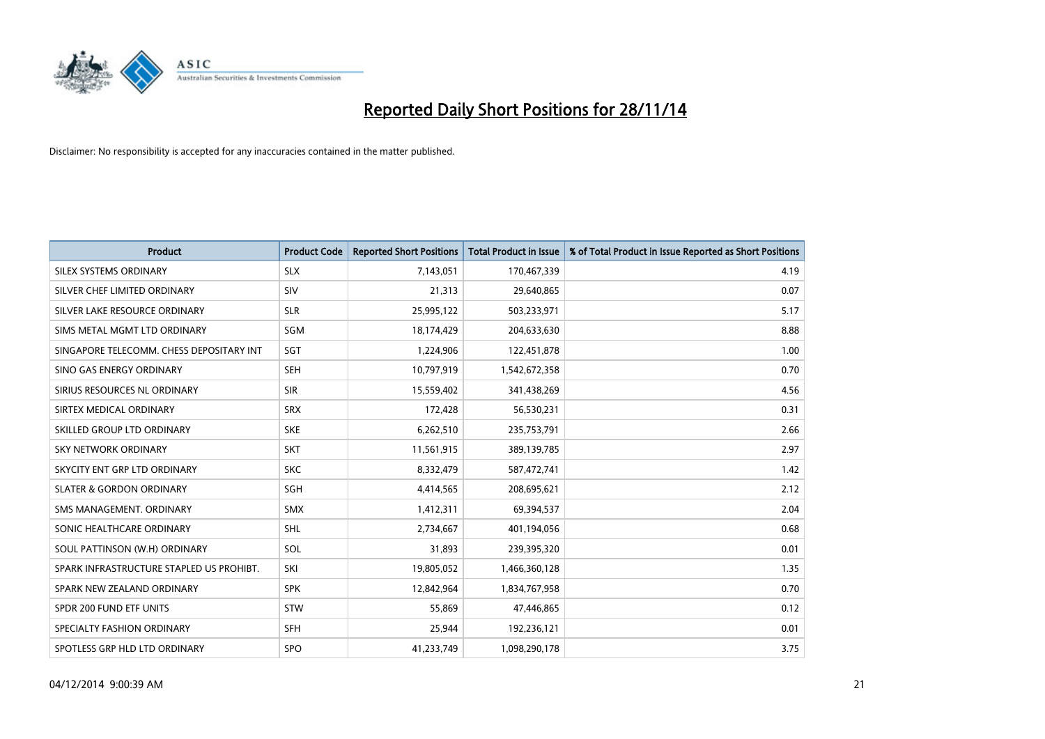

| <b>Product</b>                           | <b>Product Code</b> | <b>Reported Short Positions</b> | <b>Total Product in Issue</b> | % of Total Product in Issue Reported as Short Positions |
|------------------------------------------|---------------------|---------------------------------|-------------------------------|---------------------------------------------------------|
| SILEX SYSTEMS ORDINARY                   | <b>SLX</b>          | 7,143,051                       | 170,467,339                   | 4.19                                                    |
| SILVER CHEF LIMITED ORDINARY             | <b>SIV</b>          | 21,313                          | 29,640,865                    | 0.07                                                    |
| SILVER LAKE RESOURCE ORDINARY            | <b>SLR</b>          | 25,995,122                      | 503,233,971                   | 5.17                                                    |
| SIMS METAL MGMT LTD ORDINARY             | SGM                 | 18,174,429                      | 204,633,630                   | 8.88                                                    |
| SINGAPORE TELECOMM. CHESS DEPOSITARY INT | SGT                 | 1,224,906                       | 122,451,878                   | 1.00                                                    |
| SINO GAS ENERGY ORDINARY                 | <b>SEH</b>          | 10,797,919                      | 1,542,672,358                 | 0.70                                                    |
| SIRIUS RESOURCES NL ORDINARY             | <b>SIR</b>          | 15,559,402                      | 341,438,269                   | 4.56                                                    |
| SIRTEX MEDICAL ORDINARY                  | <b>SRX</b>          | 172,428                         | 56,530,231                    | 0.31                                                    |
| SKILLED GROUP LTD ORDINARY               | <b>SKE</b>          | 6,262,510                       | 235,753,791                   | 2.66                                                    |
| <b>SKY NETWORK ORDINARY</b>              | <b>SKT</b>          | 11,561,915                      | 389,139,785                   | 2.97                                                    |
| SKYCITY ENT GRP LTD ORDINARY             | <b>SKC</b>          | 8,332,479                       | 587,472,741                   | 1.42                                                    |
| <b>SLATER &amp; GORDON ORDINARY</b>      | SGH                 | 4,414,565                       | 208,695,621                   | 2.12                                                    |
| SMS MANAGEMENT. ORDINARY                 | SMX                 | 1,412,311                       | 69,394,537                    | 2.04                                                    |
| SONIC HEALTHCARE ORDINARY                | SHL                 | 2,734,667                       | 401,194,056                   | 0.68                                                    |
| SOUL PATTINSON (W.H) ORDINARY            | SOL                 | 31,893                          | 239,395,320                   | 0.01                                                    |
| SPARK INFRASTRUCTURE STAPLED US PROHIBT. | SKI                 | 19,805,052                      | 1,466,360,128                 | 1.35                                                    |
| SPARK NEW ZEALAND ORDINARY               | <b>SPK</b>          | 12,842,964                      | 1,834,767,958                 | 0.70                                                    |
| SPDR 200 FUND ETF UNITS                  | <b>STW</b>          | 55,869                          | 47,446,865                    | 0.12                                                    |
| SPECIALTY FASHION ORDINARY               | <b>SFH</b>          | 25,944                          | 192,236,121                   | 0.01                                                    |
| SPOTLESS GRP HLD LTD ORDINARY            | <b>SPO</b>          | 41,233,749                      | 1,098,290,178                 | 3.75                                                    |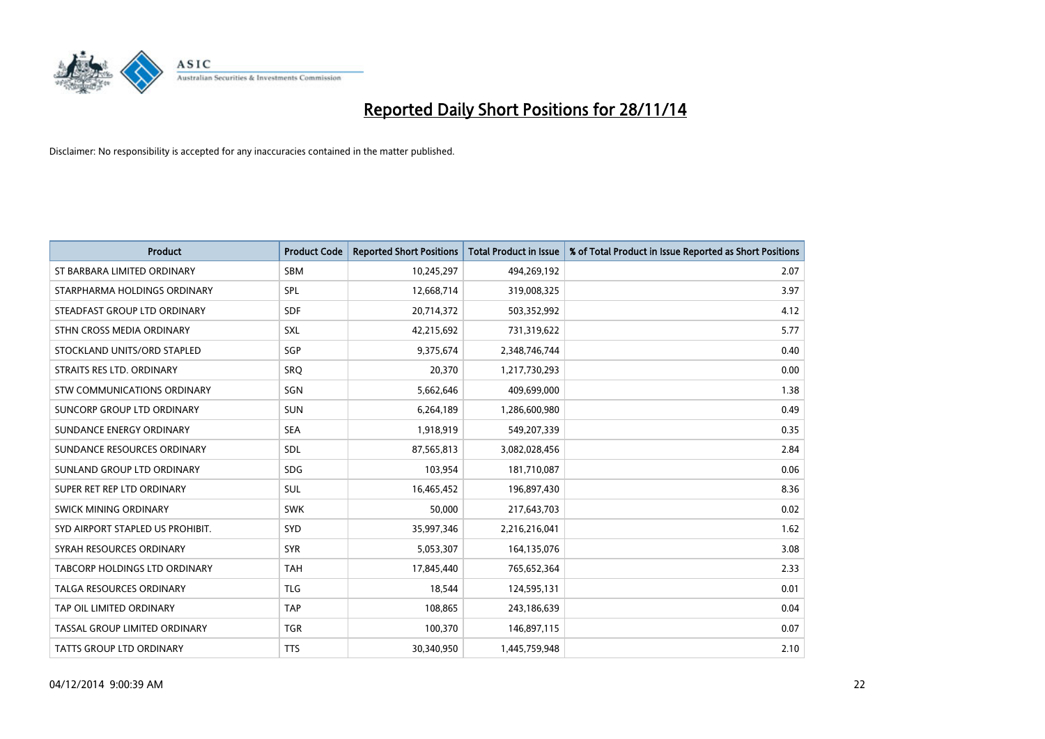

| <b>Product</b>                   | <b>Product Code</b> | <b>Reported Short Positions</b> | <b>Total Product in Issue</b> | % of Total Product in Issue Reported as Short Positions |
|----------------------------------|---------------------|---------------------------------|-------------------------------|---------------------------------------------------------|
| ST BARBARA LIMITED ORDINARY      | <b>SBM</b>          | 10,245,297                      | 494,269,192                   | 2.07                                                    |
| STARPHARMA HOLDINGS ORDINARY     | <b>SPL</b>          | 12,668,714                      | 319,008,325                   | 3.97                                                    |
| STEADFAST GROUP LTD ORDINARY     | <b>SDF</b>          | 20,714,372                      | 503,352,992                   | 4.12                                                    |
| STHN CROSS MEDIA ORDINARY        | <b>SXL</b>          | 42,215,692                      | 731,319,622                   | 5.77                                                    |
| STOCKLAND UNITS/ORD STAPLED      | SGP                 | 9,375,674                       | 2,348,746,744                 | 0.40                                                    |
| STRAITS RES LTD. ORDINARY        | SRO                 | 20,370                          | 1,217,730,293                 | 0.00                                                    |
| STW COMMUNICATIONS ORDINARY      | SGN                 | 5,662,646                       | 409,699,000                   | 1.38                                                    |
| SUNCORP GROUP LTD ORDINARY       | <b>SUN</b>          | 6,264,189                       | 1,286,600,980                 | 0.49                                                    |
| SUNDANCE ENERGY ORDINARY         | <b>SEA</b>          | 1,918,919                       | 549,207,339                   | 0.35                                                    |
| SUNDANCE RESOURCES ORDINARY      | <b>SDL</b>          | 87,565,813                      | 3,082,028,456                 | 2.84                                                    |
| SUNLAND GROUP LTD ORDINARY       | <b>SDG</b>          | 103,954                         | 181,710,087                   | 0.06                                                    |
| SUPER RET REP LTD ORDINARY       | SUL                 | 16,465,452                      | 196,897,430                   | 8.36                                                    |
| SWICK MINING ORDINARY            | <b>SWK</b>          | 50,000                          | 217,643,703                   | 0.02                                                    |
| SYD AIRPORT STAPLED US PROHIBIT. | <b>SYD</b>          | 35,997,346                      | 2,216,216,041                 | 1.62                                                    |
| SYRAH RESOURCES ORDINARY         | <b>SYR</b>          | 5,053,307                       | 164,135,076                   | 3.08                                                    |
| TABCORP HOLDINGS LTD ORDINARY    | <b>TAH</b>          | 17,845,440                      | 765,652,364                   | 2.33                                                    |
| TALGA RESOURCES ORDINARY         | <b>TLG</b>          | 18,544                          | 124,595,131                   | 0.01                                                    |
| TAP OIL LIMITED ORDINARY         | <b>TAP</b>          | 108,865                         | 243,186,639                   | 0.04                                                    |
| TASSAL GROUP LIMITED ORDINARY    | <b>TGR</b>          | 100,370                         | 146,897,115                   | 0.07                                                    |
| TATTS GROUP LTD ORDINARY         | <b>TTS</b>          | 30,340,950                      | 1,445,759,948                 | 2.10                                                    |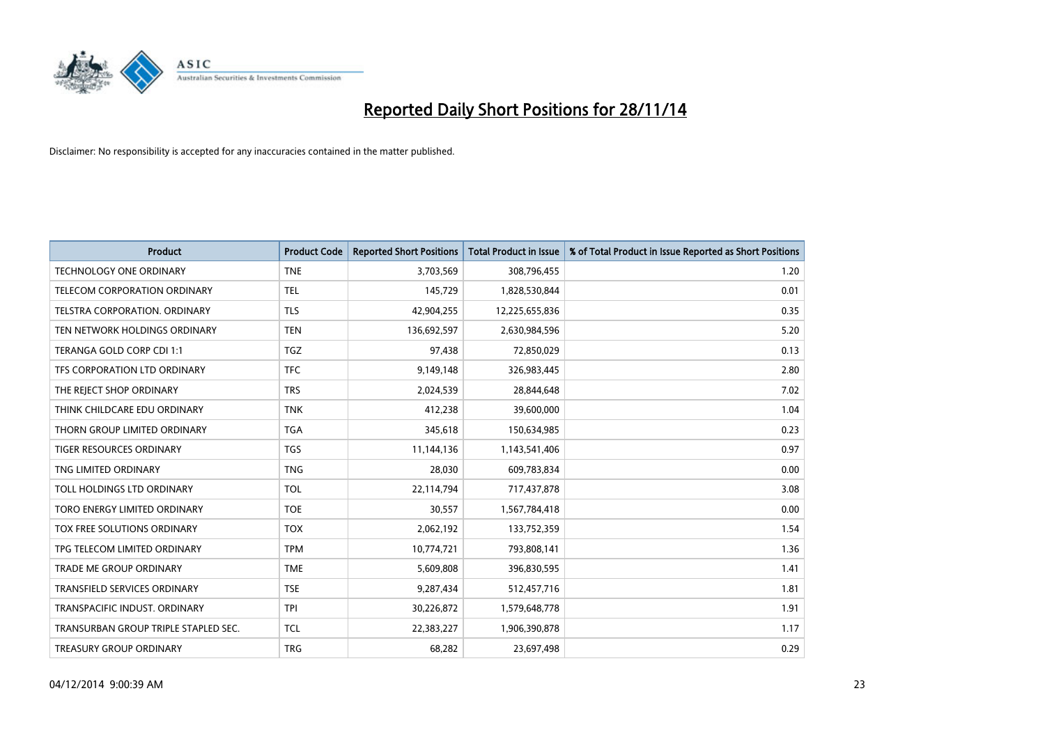

| <b>Product</b>                       | <b>Product Code</b> | <b>Reported Short Positions</b> | <b>Total Product in Issue</b> | % of Total Product in Issue Reported as Short Positions |
|--------------------------------------|---------------------|---------------------------------|-------------------------------|---------------------------------------------------------|
| <b>TECHNOLOGY ONE ORDINARY</b>       | <b>TNE</b>          | 3,703,569                       | 308,796,455                   | 1.20                                                    |
| TELECOM CORPORATION ORDINARY         | <b>TEL</b>          | 145,729                         | 1,828,530,844                 | 0.01                                                    |
| <b>TELSTRA CORPORATION, ORDINARY</b> | <b>TLS</b>          | 42,904,255                      | 12,225,655,836                | 0.35                                                    |
| TEN NETWORK HOLDINGS ORDINARY        | <b>TEN</b>          | 136,692,597                     | 2,630,984,596                 | 5.20                                                    |
| TERANGA GOLD CORP CDI 1:1            | <b>TGZ</b>          | 97,438                          | 72,850,029                    | 0.13                                                    |
| TFS CORPORATION LTD ORDINARY         | <b>TFC</b>          | 9,149,148                       | 326,983,445                   | 2.80                                                    |
| THE REJECT SHOP ORDINARY             | <b>TRS</b>          | 2,024,539                       | 28,844,648                    | 7.02                                                    |
| THINK CHILDCARE EDU ORDINARY         | <b>TNK</b>          | 412,238                         | 39,600,000                    | 1.04                                                    |
| THORN GROUP LIMITED ORDINARY         | <b>TGA</b>          | 345,618                         | 150,634,985                   | 0.23                                                    |
| <b>TIGER RESOURCES ORDINARY</b>      | <b>TGS</b>          | 11,144,136                      | 1,143,541,406                 | 0.97                                                    |
| TNG LIMITED ORDINARY                 | <b>TNG</b>          | 28,030                          | 609,783,834                   | 0.00                                                    |
| TOLL HOLDINGS LTD ORDINARY           | <b>TOL</b>          | 22,114,794                      | 717,437,878                   | 3.08                                                    |
| TORO ENERGY LIMITED ORDINARY         | <b>TOE</b>          | 30,557                          | 1,567,784,418                 | 0.00                                                    |
| TOX FREE SOLUTIONS ORDINARY          | <b>TOX</b>          | 2,062,192                       | 133,752,359                   | 1.54                                                    |
| TPG TELECOM LIMITED ORDINARY         | <b>TPM</b>          | 10,774,721                      | 793,808,141                   | 1.36                                                    |
| <b>TRADE ME GROUP ORDINARY</b>       | <b>TME</b>          | 5,609,808                       | 396,830,595                   | 1.41                                                    |
| TRANSFIELD SERVICES ORDINARY         | <b>TSE</b>          | 9,287,434                       | 512,457,716                   | 1.81                                                    |
| TRANSPACIFIC INDUST, ORDINARY        | <b>TPI</b>          | 30,226,872                      | 1,579,648,778                 | 1.91                                                    |
| TRANSURBAN GROUP TRIPLE STAPLED SEC. | <b>TCL</b>          | 22,383,227                      | 1,906,390,878                 | 1.17                                                    |
| TREASURY GROUP ORDINARY              | <b>TRG</b>          | 68,282                          | 23,697,498                    | 0.29                                                    |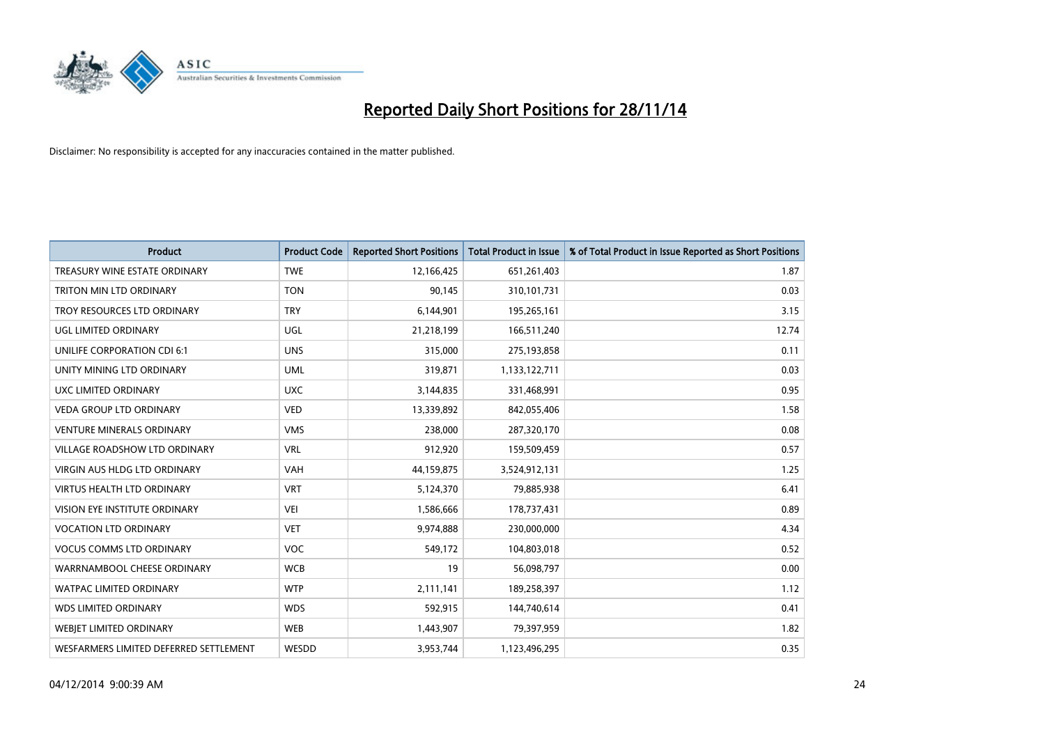

| <b>Product</b>                         | <b>Product Code</b> | <b>Reported Short Positions</b> | <b>Total Product in Issue</b> | % of Total Product in Issue Reported as Short Positions |
|----------------------------------------|---------------------|---------------------------------|-------------------------------|---------------------------------------------------------|
| TREASURY WINE ESTATE ORDINARY          | <b>TWE</b>          | 12,166,425                      | 651,261,403                   | 1.87                                                    |
| TRITON MIN LTD ORDINARY                | <b>TON</b>          | 90,145                          | 310,101,731                   | 0.03                                                    |
| TROY RESOURCES LTD ORDINARY            | <b>TRY</b>          | 6,144,901                       | 195,265,161                   | 3.15                                                    |
| UGL LIMITED ORDINARY                   | UGL                 | 21,218,199                      | 166,511,240                   | 12.74                                                   |
| <b>UNILIFE CORPORATION CDI 6:1</b>     | <b>UNS</b>          | 315,000                         | 275,193,858                   | 0.11                                                    |
| UNITY MINING LTD ORDINARY              | <b>UML</b>          | 319,871                         | 1,133,122,711                 | 0.03                                                    |
| UXC LIMITED ORDINARY                   | <b>UXC</b>          | 3,144,835                       | 331,468,991                   | 0.95                                                    |
| <b>VEDA GROUP LTD ORDINARY</b>         | <b>VED</b>          | 13,339,892                      | 842,055,406                   | 1.58                                                    |
| VENTURE MINERALS ORDINARY              | <b>VMS</b>          | 238,000                         | 287,320,170                   | 0.08                                                    |
| VILLAGE ROADSHOW LTD ORDINARY          | <b>VRL</b>          | 912,920                         | 159,509,459                   | 0.57                                                    |
| <b>VIRGIN AUS HLDG LTD ORDINARY</b>    | <b>VAH</b>          | 44,159,875                      | 3,524,912,131                 | 1.25                                                    |
| <b>VIRTUS HEALTH LTD ORDINARY</b>      | <b>VRT</b>          | 5,124,370                       | 79,885,938                    | 6.41                                                    |
| VISION EYE INSTITUTE ORDINARY          | <b>VEI</b>          | 1,586,666                       | 178,737,431                   | 0.89                                                    |
| <b>VOCATION LTD ORDINARY</b>           | <b>VET</b>          | 9,974,888                       | 230,000,000                   | 4.34                                                    |
| <b>VOCUS COMMS LTD ORDINARY</b>        | <b>VOC</b>          | 549,172                         | 104,803,018                   | 0.52                                                    |
| WARRNAMBOOL CHEESE ORDINARY            | <b>WCB</b>          | 19                              | 56,098,797                    | 0.00                                                    |
| <b>WATPAC LIMITED ORDINARY</b>         | <b>WTP</b>          | 2,111,141                       | 189,258,397                   | 1.12                                                    |
| <b>WDS LIMITED ORDINARY</b>            | <b>WDS</b>          | 592,915                         | 144,740,614                   | 0.41                                                    |
| WEBJET LIMITED ORDINARY                | <b>WEB</b>          | 1,443,907                       | 79,397,959                    | 1.82                                                    |
| WESFARMERS LIMITED DEFERRED SETTLEMENT | WESDD               | 3,953,744                       | 1,123,496,295                 | 0.35                                                    |